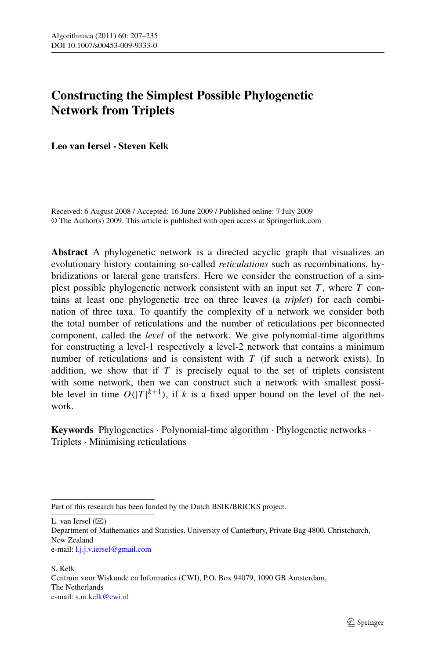# **Constructing the Simplest Possible Phylogenetic Network from Triplets**

**Leo van Iersel · Steven Kelk**

Received: 6 August 2008 / Accepted: 16 June 2009 / Published online: 7 July 2009 © The Author(s) 2009. This article is published with open access at Springerlink.com

**Abstract** A phylogenetic network is a directed acyclic graph that visualizes an evolutionary history containing so-called *reticulations* such as recombinations, hybridizations or lateral gene transfers. Here we consider the construction of a simplest possible phylogenetic network consistent with an input set *T* , where *T* contains at least one phylogenetic tree on three leaves (a *triplet*) for each combination of three taxa. To quantify the complexity of a network we consider both the total number of reticulations and the number of reticulations per biconnected component, called the *level* of the network. We give polynomial-time algorithms for constructing a level-1 respectively a level-2 network that contains a minimum number of reticulations and is consistent with *T* (if such a network exists). In addition, we show that if *T* is precisely equal to the set of triplets consistent with some network, then we can construct such a network with smallest possible level in time  $O(|T|^{k+1})$ , if *k* is a fixed upper bound on the level of the network.

**Keywords** Phylogenetics · Polynomial-time algorithm · Phylogenetic networks · Triplets · Minimising reticulations

L. van Iersel  $(\boxtimes)$ 

Department of Mathematics and Statistics, University of Canterbury, Private Bag 4800, Christchurch, New Zealand

e-mail: [l.j.j.v.iersel@gmail.com](mailto:l.j.j.v.iersel@gmail.com)

Part of this research has been funded by the Dutch BSIK/BRICKS project.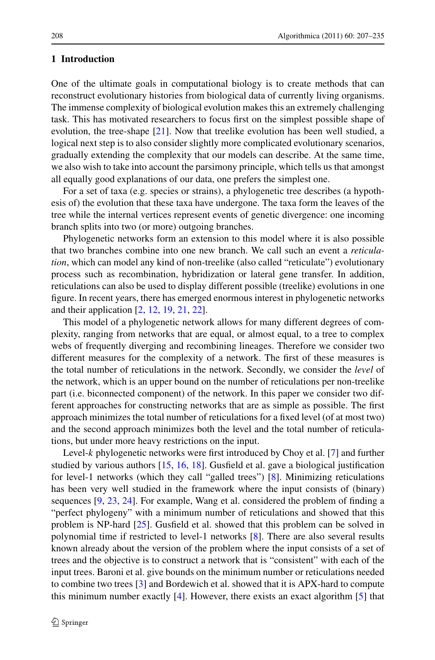#### **1 Introduction**

One of the ultimate goals in computational biology is to create methods that can reconstruct evolutionary histories from biological data of currently living organisms. The immense complexity of biological evolution makes this an extremely challenging task. This has motivated researchers to focus first on the simplest possible shape of evolution, the tree-shape [[21\]](#page-28-0). Now that treelike evolution has been well studied, a logical next step is to also consider slightly more complicated evolutionary scenarios, gradually extending the complexity that our models can describe. At the same time, we also wish to take into account the parsimony principle, which tells us that amongst all equally good explanations of our data, one prefers the simplest one.

For a set of taxa (e.g. species or strains), a phylogenetic tree describes (a hypothesis of) the evolution that these taxa have undergone. The taxa form the leaves of the tree while the internal vertices represent events of genetic divergence: one incoming branch splits into two (or more) outgoing branches.

Phylogenetic networks form an extension to this model where it is also possible that two branches combine into one new branch. We call such an event a *reticulation*, which can model any kind of non-treelike (also called "reticulate") evolutionary process such as recombination, hybridization or lateral gene transfer. In addition, reticulations can also be used to display different possible (treelike) evolutions in one figure. In recent years, there has emerged enormous interest in phylogenetic networks and their application [[2,](#page-27-0) [12](#page-28-1), [19](#page-28-2), [21](#page-28-0), [22](#page-28-3)].

This model of a phylogenetic network allows for many different degrees of complexity, ranging from networks that are equal, or almost equal, to a tree to complex webs of frequently diverging and recombining lineages. Therefore we consider two different measures for the complexity of a network. The first of these measures is the total number of reticulations in the network. Secondly, we consider the *level* of the network, which is an upper bound on the number of reticulations per non-treelike part (i.e. biconnected component) of the network. In this paper we consider two different approaches for constructing networks that are as simple as possible. The first approach minimizes the total number of reticulations for a fixed level (of at most two) and the second approach minimizes both the level and the total number of reticulations, but under more heavy restrictions on the input.

Level-*k* phylogenetic networks were first introduced by Choy et al. [\[7](#page-28-4)] and further studied by various authors [\[15](#page-28-5), [16](#page-28-6), [18](#page-28-7)]. Gusfield et al. gave a biological justification for level-1 networks (which they call "galled trees") [\[8](#page-28-8)]. Minimizing reticulations has been very well studied in the framework where the input consists of (binary) sequences [\[9](#page-28-9), [23](#page-28-10), [24\]](#page-28-11). For example, Wang et al. considered the problem of finding a "perfect phylogeny" with a minimum number of reticulations and showed that this problem is NP-hard [\[25](#page-28-12)]. Gusfield et al. showed that this problem can be solved in polynomial time if restricted to level-1 networks [[8\]](#page-28-8). There are also several results known already about the version of the problem where the input consists of a set of trees and the objective is to construct a network that is "consistent" with each of the input trees. Baroni et al. give bounds on the minimum number or reticulations needed to combine two trees [[3\]](#page-27-1) and Bordewich et al. showed that it is APX-hard to compute this minimum number exactly  $[4]$  $[4]$ . However, there exists an exact algorithm  $[5]$  $[5]$  that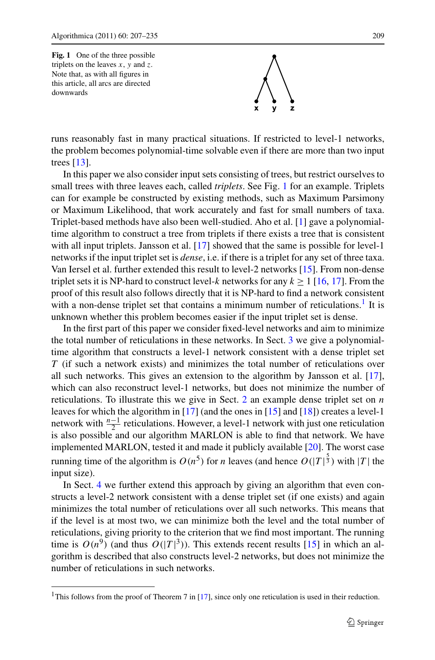<span id="page-2-0"></span>**Fig. 1** One of the three possible triplets on the leaves *x*, *y* and *z*. Note that, as with all figures in this article, all arcs are directed downwards

runs reasonably fast in many practical situations. If restricted to level-1 networks, the problem becomes polynomial-time solvable even if there are more than two input trees [\[13](#page-28-15)].

In this paper we also consider input sets consisting of trees, but restrict ourselves to small trees with three leaves each, called *triplets*. See Fig. [1](#page-2-0) for an example. Triplets can for example be constructed by existing methods, such as Maximum Parsimony or Maximum Likelihood, that work accurately and fast for small numbers of taxa. Triplet-based methods have also been well-studied. Aho et al. [[1\]](#page-27-2) gave a polynomialtime algorithm to construct a tree from triplets if there exists a tree that is consistent with all input triplets. Jansson et al. [\[17\]](#page-28-16) showed that the same is possible for level-1 networks if the input triplet set is *dense*, i.e. if there is a triplet for any set of three taxa. Van Iersel et al. further extended this result to level-2 networks [[15\]](#page-28-5). From non-dense triplet sets it is NP-hard to construct level-*k* networks for any  $k \ge 1$  [\[16,](#page-28-6) [17\]](#page-28-16). From the proof of this result also follows directly that it is NP-hard to find a network consistent with a non-dense triplet set that contains a minimum number of reticulations.<sup>1</sup> It is unknown whether this problem becomes easier if the input triplet set is dense.

In the first part of this paper we consider fixed-level networks and aim to minimize the total number of reticulations in these networks. In Sect. [3](#page-6-0) we give a polynomialtime algorithm that constructs a level-1 network consistent with a dense triplet set *T* (if such a network exists) and minimizes the total number of reticulations over all such networks. This gives an extension to the algorithm by Jansson et al. [[17\]](#page-28-16), which can also reconstruct level-1 networks, but does not minimize the number of reticulations. To illustrate this we give in Sect. [2](#page-3-0) an example dense triplet set on *n* leaves for which the algorithm in [\[17](#page-28-16)] (and the ones in [[15\]](#page-28-5) and [\[18](#page-28-7)]) creates a level-1 network with  $\frac{n-1}{2}$  reticulations. However, a level-1 network with just one reticulation is also possible and our algorithm MARLON is able to find that network. We have implemented MARLON, tested it and made it publicly available [\[20](#page-28-17)]. The worst case running time of the algorithm is  $O(n^5)$  for *n* leaves (and hence  $O(|T|^{\frac{5}{3}})$  with |*T*| the input size).

<span id="page-2-1"></span>In Sect. [4](#page-9-0) we further extend this approach by giving an algorithm that even constructs a level-2 network consistent with a dense triplet set (if one exists) and again minimizes the total number of reticulations over all such networks. This means that if the level is at most two, we can minimize both the level and the total number of reticulations, giving priority to the criterion that we find most important. The running time is  $O(n^9)$  (and thus  $O(|T|^3)$ ). This extends recent results [\[15](#page-28-5)] in which an algorithm is described that also constructs level-2 networks, but does not minimize the number of reticulations in such networks.



<sup>&</sup>lt;sup>1</sup>This follows from the proof of Theorem 7 in [\[17](#page-28-16)], since only one reticulation is used in their reduction.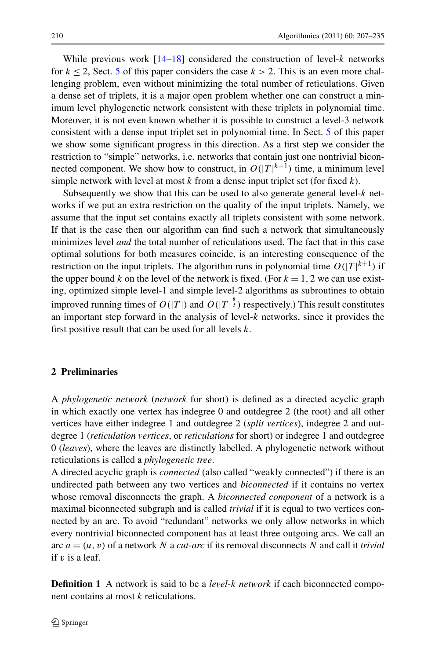While previous work [\[14](#page-28-18)[–18](#page-28-7)] considered the construction of level-*k* networks for  $k < 2$ , Sect. [5](#page-15-0) of this paper considers the case  $k > 2$ . This is an even more challenging problem, even without minimizing the total number of reticulations. Given a dense set of triplets, it is a major open problem whether one can construct a minimum level phylogenetic network consistent with these triplets in polynomial time. Moreover, it is not even known whether it is possible to construct a level-3 network consistent with a dense input triplet set in polynomial time. In Sect. [5](#page-15-0) of this paper we show some significant progress in this direction. As a first step we consider the restriction to "simple" networks, i.e. networks that contain just one nontrivial biconnected component. We show how to construct, in  $O(|T|^{k+1})$  time, a minimum level simple network with level at most *k* from a dense input triplet set (for fixed *k*).

Subsequently we show that this can be used to also generate general level-*k* networks if we put an extra restriction on the quality of the input triplets. Namely, we assume that the input set contains exactly all triplets consistent with some network. If that is the case then our algorithm can find such a network that simultaneously minimizes level *and* the total number of reticulations used. The fact that in this case optimal solutions for both measures coincide, is an interesting consequence of the restriction on the input triplets. The algorithm runs in polynomial time  $O(|T|^{k+1})$  if the upper bound *k* on the level of the network is fixed. (For  $k = 1, 2$  we can use existing, optimized simple level-1 and simple level-2 algorithms as subroutines to obtain improved running times of  $O(|T|)$  and  $O(|T|^{\frac{8}{3}})$  respectively.) This result constitutes an important step forward in the analysis of level-*k* networks, since it provides the first positive result that can be used for all levels *k*.

# <span id="page-3-0"></span>**2 Preliminaries**

A *phylogenetic network* (*network* for short) is defined as a directed acyclic graph in which exactly one vertex has indegree 0 and outdegree 2 (the root) and all other vertices have either indegree 1 and outdegree 2 (*split vertices*), indegree 2 and outdegree 1 (*reticulation vertices*, or *reticulations* for short) or indegree 1 and outdegree 0 (*leaves*), where the leaves are distinctly labelled. A phylogenetic network without reticulations is called a *phylogenetic tree*.

A directed acyclic graph is *connected* (also called "weakly connected") if there is an undirected path between any two vertices and *biconnected* if it contains no vertex whose removal disconnects the graph. A *biconnected component* of a network is a maximal biconnected subgraph and is called *trivial* if it is equal to two vertices connected by an arc. To avoid "redundant" networks we only allow networks in which every nontrivial biconnected component has at least three outgoing arcs. We call an arc *a* = *(u,v)* of a network *N* a *cut-arc* if its removal disconnects *N* and call it *trivial* if *v* is a leaf.

**Definition 1** A network is said to be a *level-k network* if each biconnected component contains at most *k* reticulations.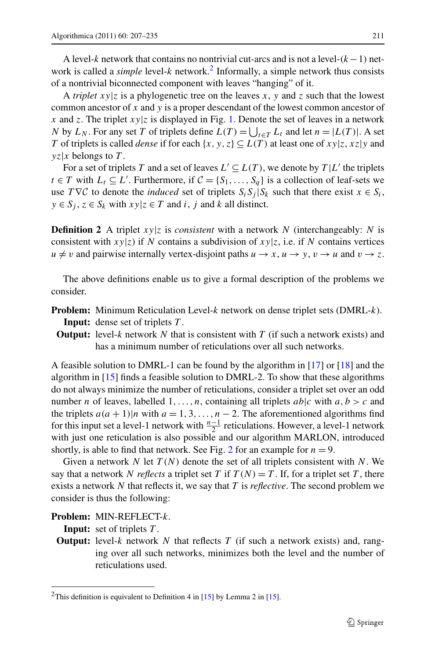A level-*k* network that contains no nontrivial cut-arcs and is not a level-*(k*−1*)* network is called a *simple* level-*k* network.[2](#page-4-0) Informally, a simple network thus consists of a nontrivial biconnected component with leaves "hanging" of it.

A *triplet*  $xy|z$  is a phylogenetic tree on the leaves  $x$ ,  $y$  and  $z$  such that the lowest common ancestor of *x* and *y* is a proper descendant of the lowest common ancestor of *x* and *z*. The triplet  $xy|z$  is displayed in Fig. [1.](#page-2-0) Denote the set of leaves in a network *N* by  $L_N$ . For any set *T* of triplets define  $L(T) = \bigcup_{t \in T} L_t$  and let  $n = |L(T)|$ . A set *T* of triplets is called *dense* if for each  $\{x, y, z\} \subseteq L(T)$  at least one of  $xy|z, xz|y$  and  $yz|x$  belongs to *T*.

For a set of triplets *T* and a set of leaves  $L' \subseteq L(T)$ , we denote by  $T | L'$  the triplets *t* ∈ *T* with  $L_t$  ⊆ *L'*. Furthermore, if  $C = \{S_1, \ldots, S_q\}$  is a collection of leaf-sets we use  $T \nabla C$  to denote the *induced* set of triplets  $S_i S_j | S_k$  such that there exist  $x \in S_i$ ,  $y \in S_i$ ,  $z \in S_k$  with  $xy|z \in T$  and *i*, *j* and *k* all distinct.

**Definition 2** A triplet *xy*|*z* is *consistent* with a network *N* (interchangeably: *N* is consistent with  $xy|z$ ) if N contains a subdivision of  $xy|z$ , i.e. if N contains vertices  $u \neq v$  and pairwise internally vertex-disjoint paths  $u \to x$ ,  $u \to y$ ,  $v \to u$  and  $v \to z$ .

The above definitions enable us to give a formal description of the problems we consider.

- **Problem:** Minimum Reticulation Level-*k* network on dense triplet sets (DMRL-*k*). **Input:** dense set of triplets *T* .
- **Output:** level-*k* network *N* that is consistent with *T* (if such a network exists) and has a minimum number of reticulations over all such networks.

A feasible solution to DMRL-1 can be found by the algorithm in [\[17](#page-28-16)] or [[18\]](#page-28-7) and the algorithm in [\[15](#page-28-5)] finds a feasible solution to DMRL-2. To show that these algorithms do not always minimize the number of reticulations, consider a triplet set over an odd number *n* of leaves, labelled 1,...,*n*, containing all triplets  $ab|c$  with  $a, b > c$  and the triplets  $a(a + 1)/n$  with  $a = 1, 3, ..., n - 2$ . The aforementioned algorithms find for this input set a level-1 network with  $\frac{n-1}{2}$  reticulations. However, a level-1 network with just one reticulation is also possible and our algorithm MARLON, introduced shortly, is able to find that network. See Fig. [2](#page-5-0) for an example for  $n = 9$ .

Given a network *N* let  $T(N)$  denote the set of all triplets consistent with *N*. We say that a network *N* reflects a triplet set *T* if  $T(N) = T$ . If, for a triplet set *T*, there exists a network *N* that reflects it, we say that *T* is *reflective*. The second problem we consider is thus the following:

# <span id="page-4-0"></span>**Problem:** MIN-REFLECT-*k*.

- **Input:** set of triplets *T* .
- **Output:** level-*k* network *N* that reflects *T* (if such a network exists) and, ranging over all such networks, minimizes both the level and the number of reticulations used.

<sup>&</sup>lt;sup>2</sup>This definition is equivalent to Definition 4 in [[15\]](#page-28-5) by Lemma 2 in [15].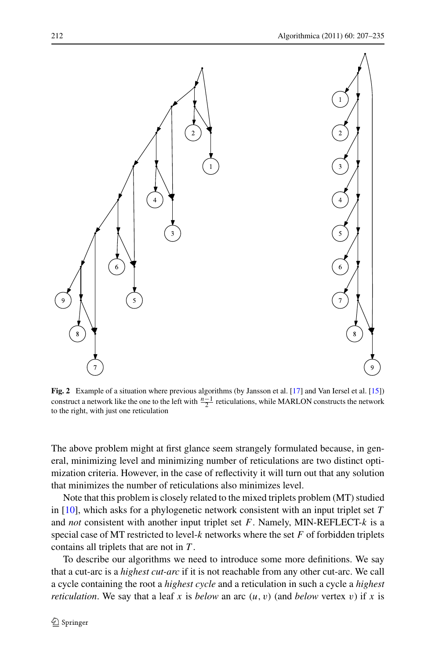

<span id="page-5-0"></span>**Fig. 2** Example of a situation where previous algorithms (by Jansson et al. [[17\]](#page-28-16) and Van Iersel et al. [\[15](#page-28-5)]) construct a network like the one to the left with  $\frac{n-1}{2}$  reticulations, while MARLON constructs the network to the right, with just one reticulation

The above problem might at first glance seem strangely formulated because, in general, minimizing level and minimizing number of reticulations are two distinct optimization criteria. However, in the case of reflectivity it will turn out that any solution that minimizes the number of reticulations also minimizes level.

Note that this problem is closely related to the mixed triplets problem (MT) studied in [[10\]](#page-28-19), which asks for a phylogenetic network consistent with an input triplet set *T* and *not* consistent with another input triplet set *F*. Namely, MIN-REFLECT-*k* is a special case of MT restricted to level-*k* networks where the set *F* of forbidden triplets contains all triplets that are not in *T* .

To describe our algorithms we need to introduce some more definitions. We say that a cut-arc is a *highest cut-arc* if it is not reachable from any other cut-arc. We call a cycle containing the root a *highest cycle* and a reticulation in such a cycle a *highest reticulation*. We say that a leaf *x* is *below* an arc  $(u, v)$  (and *below* vertex *v*) if *x* is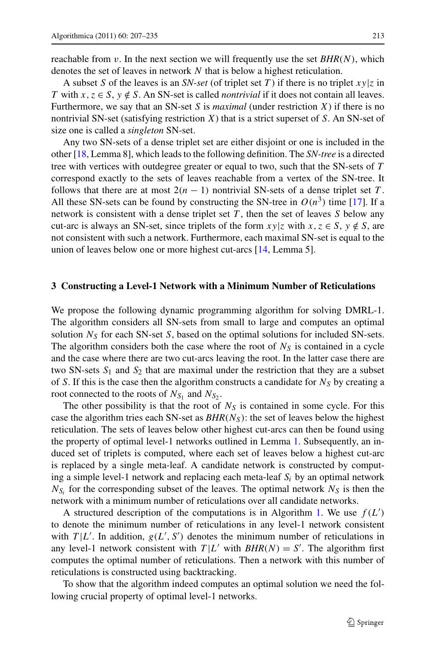reachable from  $v$ . In the next section we will frequently use the set  $BHR(N)$ , which denotes the set of leaves in network *N* that is below a highest reticulation.

A subset *S* of the leaves is an *SN-set* (of triplet set *T* ) if there is no triplet *xy*|*z* in *T* with  $x, z \in S$ ,  $y \notin S$ . An SN-set is called *nontrivial* if it does not contain all leaves. Furthermore, we say that an SN-set *S* is *maximal* (under restriction *X*) if there is no nontrivial SN-set (satisfying restriction *X*) that is a strict superset of *S*. An SN-set of size one is called a *singleton* SN-set.

<span id="page-6-0"></span>Any two SN-sets of a dense triplet set are either disjoint or one is included in the other [\[18](#page-28-7), Lemma 8], which leads to the following definition. The *SN-tree* is a directed tree with vertices with outdegree greater or equal to two, such that the SN-sets of *T* correspond exactly to the sets of leaves reachable from a vertex of the SN-tree. It follows that there are at most  $2(n - 1)$  nontrivial SN-sets of a dense triplet set *T*. All these SN-sets can be found by constructing the SN-tree in  $O(n^3)$  time [\[17](#page-28-16)]. If a network is consistent with a dense triplet set *T* , then the set of leaves *S* below any cut-arc is always an SN-set, since triplets of the form  $xy|z$  with  $x, z \in S$ ,  $y \notin S$ , are not consistent with such a network. Furthermore, each maximal SN-set is equal to the union of leaves below one or more highest cut-arcs [[14,](#page-28-18) Lemma 5].

## **3 Constructing a Level-1 Network with a Minimum Number of Reticulations**

We propose the following dynamic programming algorithm for solving DMRL-1. The algorithm considers all SN-sets from small to large and computes an optimal solution  $N<sub>S</sub>$  for each SN-set *S*, based on the optimal solutions for included SN-sets. The algorithm considers both the case where the root of  $N<sub>S</sub>$  is contained in a cycle and the case where there are two cut-arcs leaving the root. In the latter case there are two SN-sets  $S_1$  and  $S_2$  that are maximal under the restriction that they are a subset of *S*. If this is the case then the algorithm constructs a candidate for  $N<sub>S</sub>$  by creating a root connected to the roots of  $N_{S_1}$  and  $N_{S_2}$ .

The other possibility is that the root of  $N<sub>S</sub>$  is contained in some cycle. For this case the algorithm tries each SN-set as  $BHR(N<sub>S</sub>)$ : the set of leaves below the highest reticulation. The sets of leaves below other highest cut-arcs can then be found using the property of optimal level-1 networks outlined in Lemma [1.](#page-7-0) Subsequently, an induced set of triplets is computed, where each set of leaves below a highest cut-arc is replaced by a single meta-leaf. A candidate network is constructed by computing a simple level-1 network and replacing each meta-leaf  $S_i$  by an optimal network  $N_{S_i}$  for the corresponding subset of the leaves. The optimal network  $N_S$  is then the network with a minimum number of reticulations over all candidate networks.

A structured description of the computations is in Algorithm [1](#page-7-1). We use  $f(L')$ to denote the minimum number of reticulations in any level-1 network consistent with  $T|L'$ . In addition,  $g(L', S')$  denotes the minimum number of reticulations in any level-1 network consistent with  $T | L'$  with  $BHR(N) = S'$ . The algorithm first computes the optimal number of reticulations. Then a network with this number of reticulations is constructed using backtracking.

To show that the algorithm indeed computes an optimal solution we need the following crucial property of optimal level-1 networks.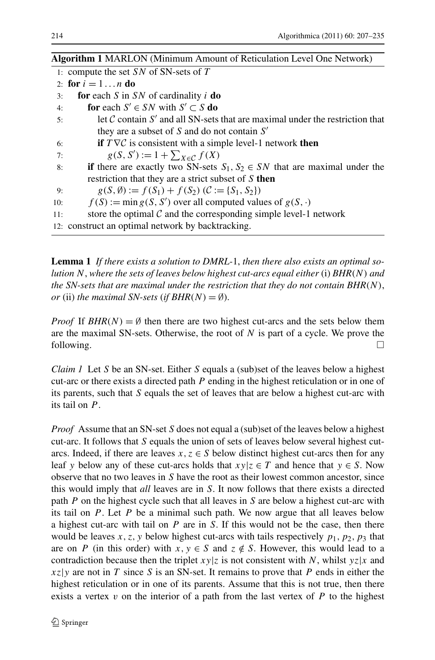<span id="page-7-1"></span>

|  | Algorithm 1 MARLON (Minimum Amount of Reticulation Level One Network) |
|--|-----------------------------------------------------------------------|
|--|-----------------------------------------------------------------------|

|     | 1: compute the set $SN$ of SN-sets of $T$                                              |
|-----|----------------------------------------------------------------------------------------|
|     | 2: for $i = 1n$ do                                                                     |
| 3:  | for each S in SN of cardinality $i$ do                                                 |
| 4:  | for each $S' \in SN$ with $S' \subset S$ do                                            |
| 5:  | let $C$ contain $S'$ and all SN-sets that are maximal under the restriction that       |
|     | they are a subset of S and do not contain $S'$                                         |
| 6:  | <b>if</b> $T\nabla\mathcal{C}$ is consistent with a simple level-1 network <b>then</b> |
| 7:  | $g(S, S') := 1 + \sum_{X \in \mathcal{C}} f(X)$                                        |
| 8:  | if there are exactly two SN-sets $S_1, S_2 \in SN$ that are maximal under the          |
|     | restriction that they are a strict subset of S then                                    |
| 9:  | $g(S, \emptyset) := f(S_1) + f(S_2)$ ( $\mathcal{C} := \{S_1, S_2\}$ )                 |
| 10: | $f(S) := \min g(S, S')$ over all computed values of $g(S, \cdot)$                      |
| 11: | store the optimal $C$ and the corresponding simple level-1 network                     |
|     | 12: construct an optimal network by backtracking.                                      |

<span id="page-7-0"></span>**Lemma 1** *If there exists a solution to DMRL-*1, *then there also exists an optimal solution N*, *where the sets of leaves below highest cut-arcs equal either* (i) *BHR(N) and the SN-sets that are maximal under the restriction that they do not contain BHR(N)*, *or* (ii) *the maximal SN-sets* (*if BHR*( $N$ ) =  $\emptyset$ ).

*Proof* If *BHR* $(N) = \emptyset$  then there are two highest cut-arcs and the sets below them are the maximal SN-sets. Otherwise, the root of *N* is part of a cycle. We prove the  $\Box$  following.  $\Box$ 

*Claim 1* Let *S* be an SN-set. Either *S* equals a (sub)set of the leaves below a highest cut-arc or there exists a directed path *P* ending in the highest reticulation or in one of its parents, such that *S* equals the set of leaves that are below a highest cut-arc with its tail on *P* .

*Proof* Assume that an SN-set *S* does not equal a (sub)set of the leaves below a highest cut-arc. It follows that *S* equals the union of sets of leaves below several highest cutarcs. Indeed, if there are leaves  $x, z \in S$  below distinct highest cut-arcs then for any leaf *y* below any of these cut-arcs holds that  $xy|z \in T$  and hence that  $y \in S$ . Now observe that no two leaves in *S* have the root as their lowest common ancestor, since this would imply that *all* leaves are in *S*. It now follows that there exists a directed path *P* on the highest cycle such that all leaves in *S* are below a highest cut-arc with its tail on  $P$ . Let  $P$  be a minimal such path. We now argue that all leaves below a highest cut-arc with tail on *P* are in *S*. If this would not be the case, then there would be leaves *x*, *z*, *y* below highest cut-arcs with tails respectively  $p_1$ ,  $p_2$ ,  $p_3$  that are on *P* (in this order) with  $x, y \in S$  and  $z \notin S$ . However, this would lead to a contradiction because then the triplet  $xy|z$  is not consistent with N, whilst  $yz|x|$  and  $xz|y$  are not in *T* since *S* is an SN-set. It remains to prove that *P* ends in either the highest reticulation or in one of its parents. Assume that this is not true, then there exists a vertex  $\nu$  on the interior of a path from the last vertex of  $P$  to the highest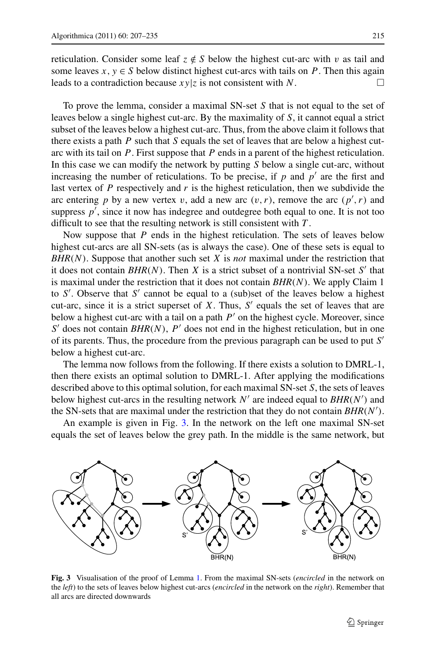reticulation. Consider some leaf  $z \notin S$  below the highest cut-arc with *v* as tail and some leaves  $x, y \in S$  below distinct highest cut-arcs with tails on *P*. Then this again leads to a contradiction because  $xy|z$  is not consistent with *N*.

To prove the lemma, consider a maximal SN-set *S* that is not equal to the set of leaves below a single highest cut-arc. By the maximality of *S*, it cannot equal a strict subset of the leaves below a highest cut-arc. Thus, from the above claim it follows that there exists a path *P* such that *S* equals the set of leaves that are below a highest cutarc with its tail on *P* . First suppose that *P* ends in a parent of the highest reticulation. In this case we can modify the network by putting *S* below a single cut-arc, without increasing the number of reticulations. To be precise, if  $p$  and  $p'$  are the first and last vertex of *P* respectively and *r* is the highest reticulation, then we subdivide the arc entering p by a new vertex v, add a new arc  $(v, r)$ , remove the arc  $(p', r)$  and suppress  $p'$ , since it now has indegree and outdegree both equal to one. It is not too difficult to see that the resulting network is still consistent with *T* .

Now suppose that *P* ends in the highest reticulation. The sets of leaves below highest cut-arcs are all SN-sets (as is always the case). One of these sets is equal to *BHR(N)*. Suppose that another such set *X* is *not* maximal under the restriction that it does not contain  $BHR(N)$ . Then *X* is a strict subset of a nontrivial SN-set *S'* that is maximal under the restriction that it does not contain *BHR(N)*. We apply Claim 1 to  $S'$ . Observe that  $S'$  cannot be equal to a (sub)set of the leaves below a highest cut-arc, since it is a strict superset of  $X$ . Thus,  $S'$  equals the set of leaves that are below a highest cut-arc with a tail on a path  $P'$  on the highest cycle. Moreover, since  $S'$  does not contain  $BHR(N)$ ,  $P'$  does not end in the highest reticulation, but in one of its parents. Thus, the procedure from the previous paragraph can be used to put *S* below a highest cut-arc.

The lemma now follows from the following. If there exists a solution to DMRL-1, then there exists an optimal solution to DMRL-1. After applying the modifications described above to this optimal solution, for each maximal SN-set *S*, the sets of leaves below highest cut-arcs in the resulting network  $N'$  are indeed equal to  $BHR(N')$  and the SN-sets that are maximal under the restriction that they do not contain *BHR(N )*.

An example is given in Fig. [3](#page-8-0). In the network on the left one maximal SN-set equals the set of leaves below the grey path. In the middle is the same network, but

<span id="page-8-0"></span>

**Fig. 3** Visualisation of the proof of Lemma [1](#page-7-0). From the maximal SN-sets (*encircled* in the network on the *left*) to the sets of leaves below highest cut-arcs (*encircled* in the network on the *right*). Remember that all arcs are directed downwards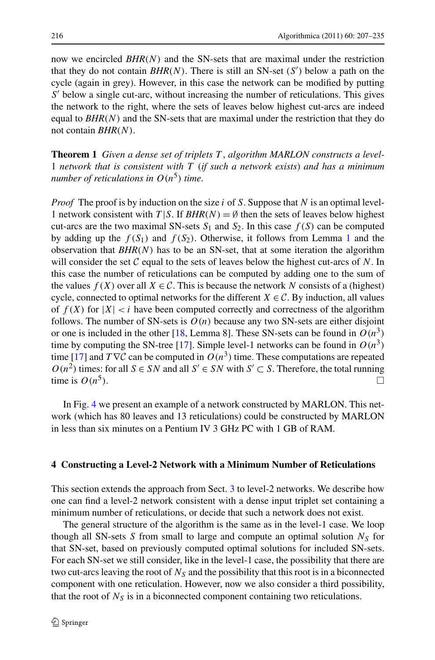<span id="page-9-1"></span>now we encircled *BHR(N)* and the SN-sets that are maximal under the restriction that they do not contain  $BHR(N)$ . There is still an SN-set  $(S')$  below a path on the cycle (again in grey). However, in this case the network can be modified by putting *S'* below a single cut-arc, without increasing the number of reticulations. This gives the network to the right, where the sets of leaves below highest cut-arcs are indeed equal to  $BHR(N)$  and the SN-sets that are maximal under the restriction that they do not contain *BHR(N)*.

**Theorem 1** *Given a dense set of triplets T* , *algorithm MARLON constructs a level-*1 *network that is consistent with T* (*if such a network exists*) *and has a minimum number of reticulations in*  $O(n^5)$  *time.* 

*Proof* The proof is by induction on the size *i* of *S*. Suppose that *N* is an optimal level-1 network consistent with *T* |*S*. If *BHR*(*N*) = Ø then the sets of leaves below highest cut-arcs are the two maximal SN-sets  $S_1$  and  $S_2$ . In this case  $f(S)$  can be computed by adding up the  $f(S_1)$  $f(S_1)$  $f(S_1)$  and  $f(S_2)$ . Otherwise, it follows from Lemma 1 and the observation that *BHR(N)* has to be an SN-set, that at some iteration the algorithm will consider the set  $C$  equal to the sets of leaves below the highest cut-arcs of  $N$ . In this case the number of reticulations can be computed by adding one to the sum of the values  $f(X)$  over all  $X \in \mathcal{C}$ . This is because the network N consists of a (highest) cycle, connected to optimal networks for the different  $X \in \mathcal{C}$ . By induction, all values of  $f(X)$  for  $|X| < i$  have been computed correctly and correctness of the algorithm follows. The number of SN-sets is  $O(n)$  because any two SN-sets are either disjoint or one is included in the other [\[18](#page-28-7), Lemma 8]. These SN-sets can be found in  $O(n^3)$ time by computing the SN-tree [[17\]](#page-28-16). Simple level-1 networks can be found in  $O(n^3)$ time [[17\]](#page-28-16) and  $T \nabla \mathcal{C}$  can be computed in  $O(n^3)$  time. These computations are repeated *O*( $n^2$ ) times: for all *S* ∈ *SN* and all *S'* ∈ *SN* with *S'* ⊂ *S*. Therefore, the total running time is  $O(n^5)$ .

<span id="page-9-0"></span>In Fig. [4](#page-10-0) we present an example of a network constructed by MARLON. This network (which has 80 leaves and 13 reticulations) could be constructed by MARLON in less than six minutes on a Pentium IV 3 GHz PC with 1 GB of RAM.

#### **4 Constructing a Level-2 Network with a Minimum Number of Reticulations**

This section extends the approach from Sect. [3](#page-6-0) to level-2 networks. We describe how one can find a level-2 network consistent with a dense input triplet set containing a minimum number of reticulations, or decide that such a network does not exist.

The general structure of the algorithm is the same as in the level-1 case. We loop though all SN-sets *S* from small to large and compute an optimal solution  $N<sub>S</sub>$  for that SN-set, based on previously computed optimal solutions for included SN-sets. For each SN-set we still consider, like in the level-1 case, the possibility that there are two cut-arcs leaving the root of  $N<sub>S</sub>$  and the possibility that this root is in a biconnected component with one reticulation. However, now we also consider a third possibility, that the root of  $N<sub>S</sub>$  is in a biconnected component containing two reticulations.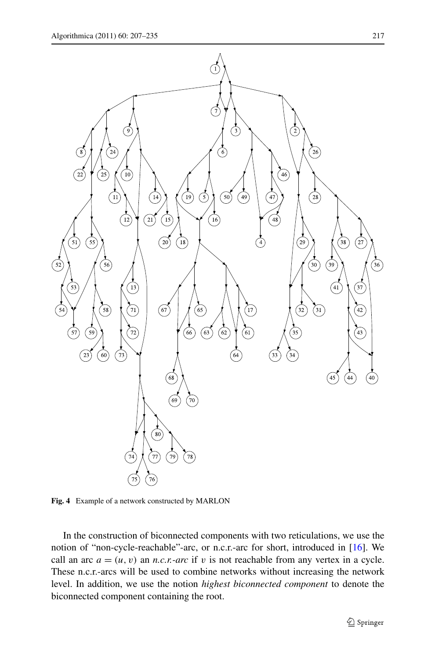

<span id="page-10-0"></span>**Fig. 4** Example of a network constructed by MARLON

In the construction of biconnected components with two reticulations, we use the notion of "non-cycle-reachable"-arc, or n.c.r.-arc for short, introduced in [\[16](#page-28-6)]. We call an arc  $a = (u, v)$  an *n.c.r.-arc* if *v* is not reachable from any vertex in a cycle. These n.c.r.-arcs will be used to combine networks without increasing the network level. In addition, we use the notion *highest biconnected component* to denote the biconnected component containing the root.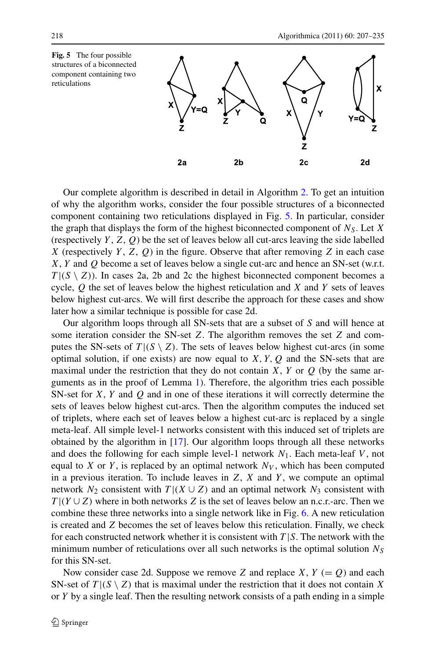<span id="page-11-0"></span>

Our complete algorithm is described in detail in Algorithm [2](#page-14-0). To get an intuition of why the algorithm works, consider the four possible structures of a biconnected component containing two reticulations displayed in Fig. [5](#page-11-0). In particular, consider the graph that displays the form of the highest biconnected component of  $N<sub>S</sub>$ . Let *X* (respectively  $Y$ ,  $Z$ ,  $Q$ ) be the set of leaves below all cut-arcs leaving the side labelled *X* (respectively *Y* , *Z*, *Q*) in the figure. Observe that after removing *Z* in each case *X*, *Y* and *Q* become a set of leaves below a single cut-arc and hence an SN-set (w.r.t.  $T|(S \setminus Z)$ ). In cases 2a, 2b and 2c the highest biconnected component becomes a cycle, *Q* the set of leaves below the highest reticulation and *X* and *Y* sets of leaves below highest cut-arcs. We will first describe the approach for these cases and show later how a similar technique is possible for case 2d.

Our algorithm loops through all SN-sets that are a subset of *S* and will hence at some iteration consider the SN-set *Z*. The algorithm removes the set *Z* and computes the SN-sets of  $T|(S \setminus Z)$ . The sets of leaves below highest cut-arcs (in some optimal solution, if one exists) are now equal to *X,Y,Q* and the SN-sets that are maximal under the restriction that they do not contain  $X$ ,  $Y$  or  $Q$  (by the same arguments as in the proof of Lemma [1](#page-7-0)). Therefore, the algorithm tries each possible SN-set for *X*, *Y* and *Q* and in one of these iterations it will correctly determine the sets of leaves below highest cut-arcs. Then the algorithm computes the induced set of triplets, where each set of leaves below a highest cut-arc is replaced by a single meta-leaf. All simple level-1 networks consistent with this induced set of triplets are obtained by the algorithm in [\[17](#page-28-16)]. Our algorithm loops through all these networks and does the following for each simple level-1 network  $N_1$ . Each meta-leaf  $V$ , not equal to *X* or *Y*, is replaced by an optimal network  $N_V$ , which has been computed in a previous iteration. To include leaves in *Z*, *X* and *Y* , we compute an optimal network  $N_2$  consistent with  $T|(X \cup Z)$  and an optimal network  $N_3$  consistent with  $T$  | $(Y \cup Z)$  where in both networks *Z* is the set of leaves below an n.c.r.-arc. Then we combine these three networks into a single network like in Fig. [6.](#page-12-0) A new reticulation is created and *Z* becomes the set of leaves below this reticulation. Finally, we check for each constructed network whether it is consistent with *T* |*S*. The network with the minimum number of reticulations over all such networks is the optimal solution  $N<sub>S</sub>$ for this SN-set.

Now consider case 2d. Suppose we remove *Z* and replace *X*,  $Y = Q$  and each SN-set of  $T|(S \setminus Z)$  that is maximal under the restriction that it does not contain X or *Y* by a single leaf. Then the resulting network consists of a path ending in a simple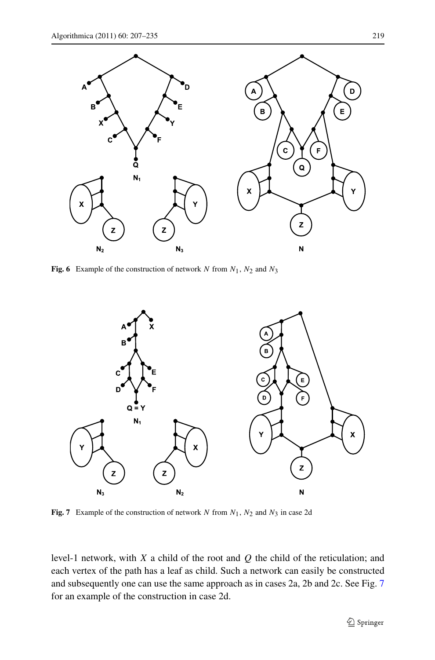

<span id="page-12-0"></span>**Fig. 6** Example of the construction of network *N* from *N*1, *N*2 and *N*3



<span id="page-12-1"></span>**Fig. 7** Example of the construction of network *N* from  $N_1$ ,  $N_2$  and  $N_3$  in case 2d

level-1 network, with *X* a child of the root and *Q* the child of the reticulation; and each vertex of the path has a leaf as child. Such a network can easily be constructed and subsequently one can use the same approach as in cases 2a, 2b and 2c. See Fig. [7](#page-12-1) for an example of the construction in case 2d.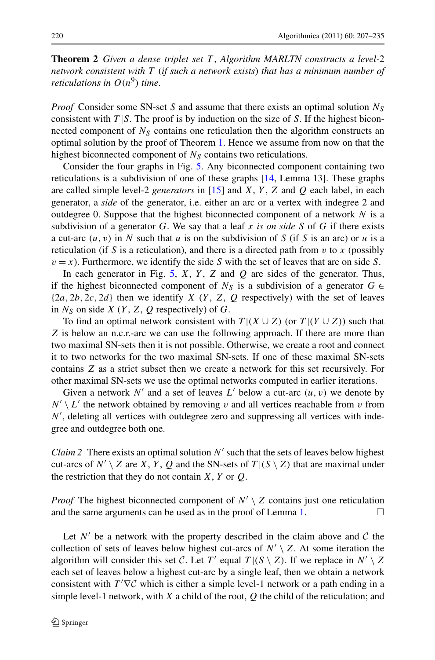**Theorem 2** *Given a dense triplet set T* , *Algorithm MARLTN constructs a level-*2 *network consistent with T* (*if such a network exists*) *that has a minimum number of reticulations in*  $O(n^9)$  *time.* 

*Proof* Consider some SN-set *S* and assume that there exists an optimal solution  $N<sub>S</sub>$ consistent with  $T/S$ . The proof is by induction on the size of *S*. If the highest biconnected component of  $N<sub>S</sub>$  contains one reticulation then the algorithm constructs an optimal solution by the proof of Theorem [1.](#page-9-1) Hence we assume from now on that the highest biconnected component of  $N<sub>S</sub>$  contains two reticulations.

Consider the four graphs in Fig. [5](#page-11-0). Any biconnected component containing two reticulations is a subdivision of one of these graphs [\[14](#page-28-18), Lemma 13]. These graphs are called simple level-2 *generators* in [[15\]](#page-28-5) and *X*, *Y* , *Z* and *Q* each label, in each generator, a *side* of the generator, i.e. either an arc or a vertex with indegree 2 and outdegree 0. Suppose that the highest biconnected component of a network *N* is a subdivision of a generator  $G$ . We say that a leaf  $x$  *is on side*  $S$  of  $G$  if there exists a cut-arc  $(u, v)$  in N such that  $u$  is on the subdivision of S (if S is an arc) or  $u$  is a reticulation (if *S* is a reticulation), and there is a directed path from  $v$  to  $x$  (possibly  $v = x$ ). Furthermore, we identify the side *S* with the set of leaves that are on side *S*.

In each generator in Fig. [5,](#page-11-0)  $X$ ,  $Y$ ,  $Z$  and  $Q$  are sides of the generator. Thus, if the highest biconnected component of  $N<sub>S</sub>$  is a subdivision of a generator  $G \in$ {2*a,* 2*b,* 2*c,* 2*d*} then we identify *X* (*Y* , *Z*, *Q* respectively) with the set of leaves in  $N<sub>S</sub>$  on side *X* (*Y*, *Z*, *Q* respectively) of *G*.

To find an optimal network consistent with  $T|(X \cup Z)$  (or  $T|(Y \cup Z)$ ) such that *Z* is below an n.c.r.-arc we can use the following approach. If there are more than two maximal SN-sets then it is not possible. Otherwise, we create a root and connect it to two networks for the two maximal SN-sets. If one of these maximal SN-sets contains *Z* as a strict subset then we create a network for this set recursively. For other maximal SN-sets we use the optimal networks computed in earlier iterations.

Given a network  $N'$  and a set of leaves  $L'$  below a cut-arc  $(u, v)$  we denote by  $N' \setminus L'$  the network obtained by removing *v* and all vertices reachable from *v* from  $N'$ , deleting all vertices with outdegree zero and suppressing all vertices with indegree and outdegree both one.

*Claim 2* There exists an optimal solution  $N'$  such that the sets of leaves below highest cut-arcs of  $N' \setminus Z$  are  $X, Y, Q$  and the SN-sets of  $T|(S \setminus Z)$  that are maximal under the restriction that they do not contain *X*, *Y* or *Q*.

*Proof* The highest biconnected component of  $N' \setminus Z$  contains just one reticulation and the same arguments can be used as in the proof of Lemma [1.](#page-7-0)  $\Box$ 

Let  $N'$  be a network with the property described in the claim above and  $C$  the collection of sets of leaves below highest cut-arcs of  $N' \setminus Z$ . At some iteration the algorithm will consider this set C. Let T' equal  $T|(S \setminus Z)$ . If we replace in  $N' \setminus Z$ each set of leaves below a highest cut-arc by a single leaf, then we obtain a network consistent with  $T'\nabla \mathcal{C}$  which is either a simple level-1 network or a path ending in a simple level-1 network, with *X* a child of the root, *Q* the child of the reticulation; and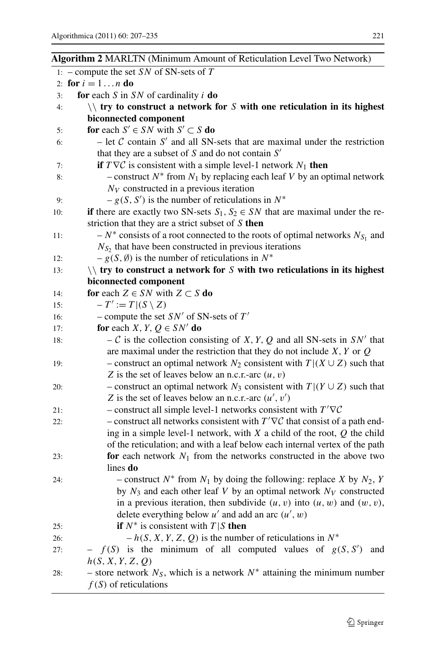<span id="page-14-0"></span>

|     | Algorithm 2 MARLTN (Minimum Amount of Reticulation Level Two Network)                                                                  |
|-----|----------------------------------------------------------------------------------------------------------------------------------------|
|     | 1: – compute the set SN of SN-sets of T                                                                                                |
|     | 2: for $i = 1  n$ do                                                                                                                   |
| 3:  | for each $S$ in $SN$ of cardinality $i$ do                                                                                             |
| 4:  | $\setminus$ try to construct a network for S with one reticulation in its highest                                                      |
|     | biconnected component                                                                                                                  |
| 5:  | for each $S' \in SN$ with $S' \subset S$ do                                                                                            |
| 6:  | - let $C$ contain $S'$ and all SN-sets that are maximal under the restriction                                                          |
|     | that they are a subset of $S$ and do not contain $S'$                                                                                  |
| 7:  | if $T \nabla C$ is consistent with a simple level-1 network $N_1$ then                                                                 |
| 8:  | – construct $N^*$ from $N_1$ by replacing each leaf V by an optimal network                                                            |
|     | $N_V$ constructed in a previous iteration                                                                                              |
| 9:  | $-g(S, S')$ is the number of reticulations in $N^*$                                                                                    |
| 10: | if there are exactly two SN-sets $S_1, S_2 \in SN$ that are maximal under the re-                                                      |
|     | striction that they are a strict subset of S then                                                                                      |
| 11: | $-N^*$ consists of a root connected to the roots of optimal networks $N_{S_1}$ and                                                     |
|     | $N_{S_2}$ that have been constructed in previous iterations                                                                            |
| 12: | $-g(S, \emptyset)$ is the number of reticulations in $N^*$                                                                             |
| 13: | $\setminus$ try to construct a network for S with two reticulations in its highest                                                     |
|     | biconnected component                                                                                                                  |
| 14: | for each $Z \in SN$ with $Z \subset S$ do                                                                                              |
| 15: | $-T' := T   (S \setminus Z)$                                                                                                           |
| 16: | - compute the set $SN'$ of SN-sets of $T'$                                                                                             |
| 17: | for each X, Y, $Q \in SN'$ do                                                                                                          |
| 18: | $-C$ is the collection consisting of X, Y, Q and all SN-sets in SN' that                                                               |
|     | are maximal under the restriction that they do not include $X, Y$ or $Q$                                                               |
| 19: | – construct an optimal network $N_2$ consistent with $T (X \cup Z)$ such that                                                          |
|     | Z is the set of leaves below an n.c.r.-arc $(u, v)$                                                                                    |
| 20: | – construct an optimal network $N_3$ consistent with $T (Y \cup Z)$ such that                                                          |
|     | Z is the set of leaves below an n.c.r.-arc $(u', v')$                                                                                  |
| 21: | - construct all simple level-1 networks consistent with $T'\nabla \mathcal{C}$                                                         |
| 22: | - construct all networks consistent with $T'\nabla \mathcal{C}$ that consist of a path end-                                            |
|     | ing in a simple level-1 network, with $X$ a child of the root, $Q$ the child                                                           |
|     | of the reticulation; and with a leaf below each internal vertex of the path                                                            |
| 23: | for each network $N_1$ from the networks constructed in the above two                                                                  |
|     | lines do                                                                                                                               |
| 24: | – construct $N^*$ from $N_1$ by doing the following: replace X by $N_2$ , Y                                                            |
|     | by $N_3$ and each other leaf V by an optimal network $N_V$ constructed                                                                 |
|     | in a previous iteration, then subdivide $(u, v)$ into $(u, w)$ and $(w, v)$ ,<br>delete everything below $u'$ and add an arc $(u', w)$ |
|     |                                                                                                                                        |
| 25: | if $N^*$ is consistent with $T S$ then<br>$-h(S, X, Y, Z, Q)$ is the number of reticulations in $N^*$                                  |
| 26: |                                                                                                                                        |
| 27: | - $f(S)$ is the minimum of all computed values of $g(S, S')$<br>and                                                                    |
|     | h(S, X, Y, Z, Q)<br>- store network $NS$ , which is a network $N^*$ attaining the minimum number                                       |
| 28: | $f(S)$ of reticulations                                                                                                                |
|     |                                                                                                                                        |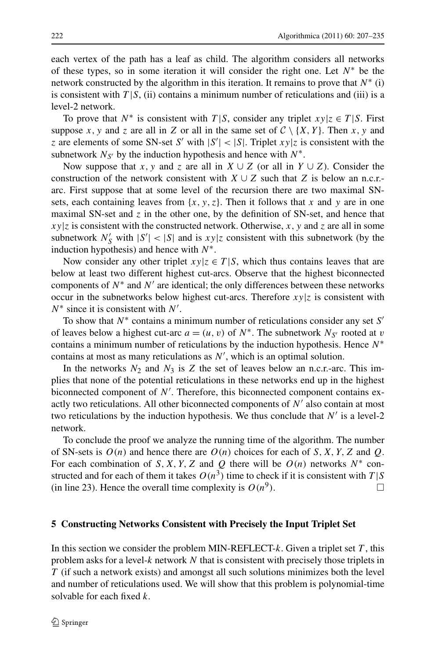each vertex of the path has a leaf as child. The algorithm considers all networks of these types, so in some iteration it will consider the right one. Let *N*<sup>∗</sup> be the network constructed by the algorithm in this iteration. It remains to prove that  $N^*$  (i) is consistent with  $T|S$ , (ii) contains a minimum number of reticulations and (iii) is a level-2 network.

To prove that  $N^*$  is consistent with  $T|S$ , consider any triplet  $xy|z \in T|S$ . First suppose *x*, *y* and *z* are all in *Z* or all in the same set of  $C \setminus \{X, Y\}$ . Then *x*, *y* and *z* are elements of some SN-set *S'* with  $|S'| < |S|$ . Triplet *xy*|*z* is consistent with the subnetwork  $N_{S'}$  by the induction hypothesis and hence with  $N^*$ .

Now suppose that *x*, y and *z* are all in  $X \cup Z$  (or all in  $Y \cup Z$ ). Consider the construction of the network consistent with  $X \cup Z$  such that *Z* is below an n.c.r.arc. First suppose that at some level of the recursion there are two maximal SNsets, each containing leaves from  $\{x, y, z\}$ . Then it follows that x and y are in one maximal SN-set and *z* in the other one, by the definition of SN-set, and hence that  $xy|z$  is consistent with the constructed network. Otherwise, *x*, *y* and *z* are all in some subnetwork  $N'_S$  with  $|S'| < |S|$  and is  $xy|z$  consistent with this subnetwork (by the induction hypothesis) and hence with *N*∗.

Now consider any other triplet  $xy|z \in T|S$ , which thus contains leaves that are below at least two different highest cut-arcs. Observe that the highest biconnected components of  $N^*$  and  $N'$  are identical; the only differences between these networks occur in the subnetworks below highest cut-arcs. Therefore  $xy|z$  is consistent with *N*<sup>∗</sup> since it is consistent with *N* .

To show that *N*<sup>∗</sup> contains a minimum number of reticulations consider any set *S* of leaves below a highest cut-arc  $a = (u, v)$  of  $N^*$ . The subnetwork  $N_{S'}$  rooted at *v* contains a minimum number of reticulations by the induction hypothesis. Hence *N*<sup>∗</sup> contains at most as many reticulations as *N* , which is an optimal solution.

In the networks  $N_2$  and  $N_3$  is  $Z$  the set of leaves below an n.c.r.-arc. This implies that none of the potential reticulations in these networks end up in the highest biconnected component of N'. Therefore, this biconnected component contains exactly two reticulations. All other biconnected components of  $N'$  also contain at most two reticulations by the induction hypothesis. We thus conclude that  $N'$  is a level-2 network.

<span id="page-15-0"></span>To conclude the proof we analyze the running time of the algorithm. The number of SN-sets is  $O(n)$  and hence there are  $O(n)$  choices for each of *S*, *X*, *Y*, *Z* and *Q*. For each combination of *S*, *X*, *Y*, *Z* and *Q* there will be  $O(n)$  networks  $N^*$  constructed and for each of them it takes  $O(n^3)$  time to check if it is consistent with  $T|S$ (in line 23). Hence the overall time complexity is  $O(n^9)$ .

#### **5 Constructing Networks Consistent with Precisely the Input Triplet Set**

In this section we consider the problem MIN-REFLECT-*k*. Given a triplet set *T* , this problem asks for a level-*k* network *N* that is consistent with precisely those triplets in *T* (if such a network exists) and amongst all such solutions minimizes both the level and number of reticulations used. We will show that this problem is polynomial-time solvable for each fixed *k*.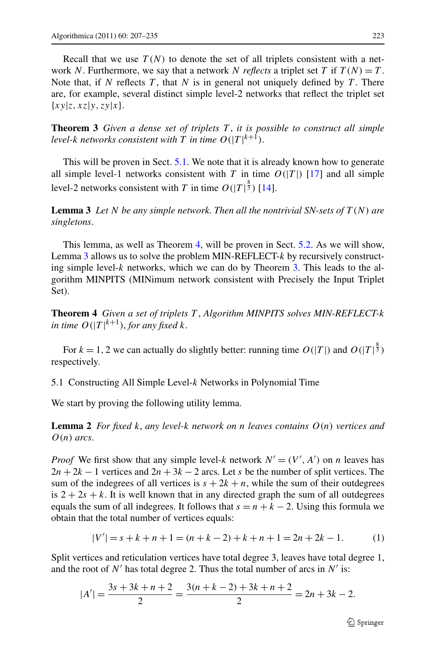Recall that we use  $T(N)$  to denote the set of all triplets consistent with a network *N*. Furthermore, we say that a network *N reflects* a triplet set *T* if  $T(N) = T$ . Note that, if N reflects  $T$ , that N is in general not uniquely defined by  $T$ . There are, for example, several distinct simple level-2 networks that reflect the triplet set {*xy*|*z,xz*|*y,zy*|*x*}*.*

**Theorem 3** *Given a dense set of triplets T* , *it is possible to construct all simple level-k networks consistent with*  $T$  *in time*  $O(|T|^{k+1})$ *.* 

This will be proven in Sect. [5.1.](#page-16-0) We note that it is already known how to generate all simple level-1 networks consistent with *T* in time  $O(|T|)$  [[17\]](#page-28-16) and all simple level-2 networks consistent with *T* in time  $O(|T|^{\frac{8}{3}})$  [\[14](#page-28-18)].

**Lemma 3** *Let N be any simple network*. *Then all the nontrivial SN-sets of T (N) are singletons*.

This lemma, as well as Theorem [4,](#page-26-0) will be proven in Sect. [5.2](#page-21-0). As we will show, Lemma [3](#page-21-1) allows us to solve the problem MIN-REFLECT-*k* by recursively constructing simple level-*k* networks, which we can do by Theorem [3](#page-19-0). This leads to the algorithm MINPITS (MINimum network consistent with Precisely the Input Triplet Set).

<span id="page-16-0"></span>**Theorem 4** *Given a set of triplets T* , *Algorithm MINPITS solves MIN-REFLECT-k in time*  $O(|T|^{k+1})$ , *for any fixed k*.

<span id="page-16-2"></span>For  $k = 1, 2$  we can actually do slightly better: running time  $O(|T|)$  and  $O(|T|^{\frac{8}{3}})$ respectively.

5.1 Constructing All Simple Level-*k* Networks in Polynomial Time

We start by proving the following utility lemma.

**Lemma 2** *For fixed k*, *any level-k network on n leaves contains O(n) vertices and O(n) arcs*.

*Proof* We first show that any simple level-*k* network  $N' = (V', A')$  on *n* leaves has  $2n + 2k - 1$  vertices and  $2n + 3k - 2$  arcs. Let *s* be the number of split vertices. The sum of the indegrees of all vertices is  $s + 2k + n$ , while the sum of their outdegrees is  $2 + 2s + k$ . It is well known that in any directed graph the sum of all outdegrees equals the sum of all indegrees. It follows that  $s = n + k - 2$ . Using this formula we obtain that the total number of vertices equals:

$$
|V'| = s + k + n + 1 = (n + k - 2) + k + n + 1 = 2n + 2k - 1.
$$
 (1)

Split vertices and reticulation vertices have total degree 3, leaves have total degree 1, and the root of  $N'$  has total degree 2. Thus the total number of arcs in  $N'$  is:

$$
|A'| = \frac{3s + 3k + n + 2}{2} = \frac{3(n + k - 2) + 3k + n + 2}{2} = 2n + 3k - 2.
$$

<span id="page-16-1"></span> $\circledcirc$  Springer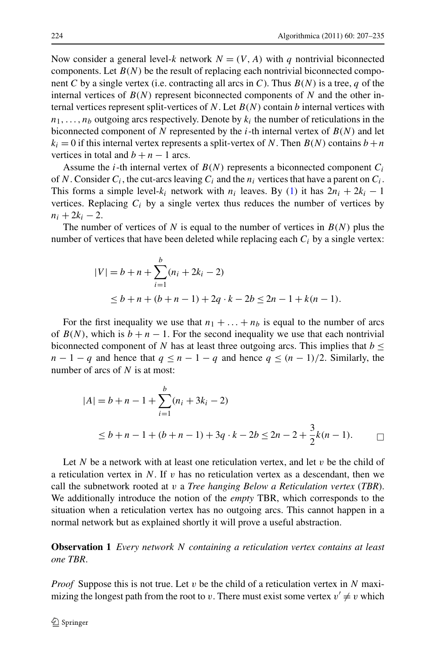Now consider a general level-*k* network  $N = (V, A)$  with *q* nontrivial biconnected components. Let  $B(N)$  be the result of replacing each nontrivial biconnected component *C* by a single vertex (i.e. contracting all arcs in *C*). Thus *B(N)* is a tree, *q* of the internal vertices of  $B(N)$  represent biconnected components of N and the other internal vertices represent split-vertices of  $N$ . Let  $B(N)$  contain  $b$  internal vertices with  $n_1, \ldots, n_b$  outgoing arcs respectively. Denote by  $k_i$  the number of reticulations in the biconnected component of N represented by the  $i$ -th internal vertex of  $B(N)$  and let  $k_i = 0$  if this internal vertex represents a split-vertex of *N*. Then  $B(N)$  contains  $b + n$ vertices in total and  $b + n - 1$  arcs.

Assume the *i*-th internal vertex of  $B(N)$  represents a biconnected component  $C_i$ of *N*. Consider  $C_i$ , the cut-arcs leaving  $C_i$  and the  $n_i$  vertices that have a parent on  $C_i$ . This forms a simple level- $k_i$  network with  $n_i$  leaves. By ([1\)](#page-16-1) it has  $2n_i + 2k_i - 1$ vertices. Replacing  $C_i$  by a single vertex thus reduces the number of vertices by  $n_i + 2k_i - 2$ .

The number of vertices of *N* is equal to the number of vertices in  $B(N)$  plus the number of vertices that have been deleted while replacing each  $C_i$  by a single vertex:

$$
|V| = b + n + \sum_{i=1}^{b} (n_i + 2k_i - 2)
$$
  
\n
$$
\leq b + n + (b + n - 1) + 2q \cdot k - 2b \leq 2n - 1 + k(n - 1).
$$

For the first inequality we use that  $n_1 + \ldots + n_b$  is equal to the number of arcs of  $B(N)$ , which is  $b + n - 1$ . For the second inequality we use that each nontrivial biconnected component of *N* has at least three outgoing arcs. This implies that  $b \leq$  $n-1-q$  and hence that  $q \leq n-1-q$  and hence  $q \leq (n-1)/2$ . Similarly, the number of arcs of *N* is at most:

$$
|A| = b + n - 1 + \sum_{i=1}^{b} (n_i + 3k_i - 2)
$$
  
\n
$$
\leq b + n - 1 + (b + n - 1) + 3q \cdot k - 2b \leq 2n - 2 + \frac{3}{2}k(n - 1).
$$

<span id="page-17-0"></span>Let *N* be a network with at least one reticulation vertex, and let *v* be the child of a reticulation vertex in *N*. If *v* has no reticulation vertex as a descendant, then we call the subnetwork rooted at *v* a *Tree hanging Below a Reticulation vertex* (*TBR*). We additionally introduce the notion of the *empty* TBR, which corresponds to the situation when a reticulation vertex has no outgoing arcs. This cannot happen in a normal network but as explained shortly it will prove a useful abstraction.

**Observation 1** *Every network N containing a reticulation vertex contains at least one TBR*.

*Proof* Suppose this is not true. Let *v* be the child of a reticulation vertex in *N* maximizing the longest path from the root to *v*. There must exist some vertex  $v' \neq v$  which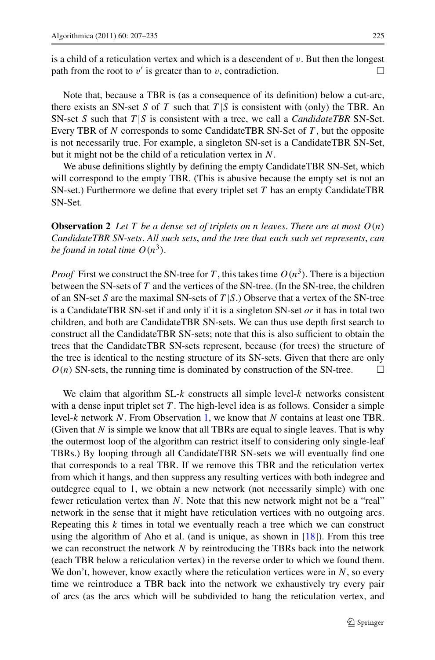is a child of a reticulation vertex and which is a descendent of *v*. But then the longest path from the root to  $v'$  is greater than to  $v$ , contradiction.

Note that, because a TBR is (as a consequence of its definition) below a cut-arc, there exists an SN-set *S* of *T* such that  $T|S$  is consistent with (only) the TBR. An SN-set *S* such that *T* |*S* is consistent with a tree, we call a *CandidateTBR* SN-Set. Every TBR of *N* corresponds to some CandidateTBR SN-Set of *T* , but the opposite is not necessarily true. For example, a singleton SN-set is a CandidateTBR SN-Set, but it might not be the child of a reticulation vertex in *N*.

<span id="page-18-0"></span>We abuse definitions slightly by defining the empty CandidateTBR SN-Set, which will correspond to the empty TBR. (This is abusive because the empty set is not an SN-set.) Furthermore we define that every triplet set *T* has an empty CandidateTBR SN-Set.

**Observation 2** *Let T be a dense set of triplets on n leaves*. *There are at most O(n) CandidateTBR SN-sets*. *All such sets*, *and the tree that each such set represents*, *can be found in total time*  $O(n^3)$ .

*Proof* First we construct the SN-tree for *T*, this takes time  $O(n^3)$ . There is a bijection between the SN-sets of *T* and the vertices of the SN-tree. (In the SN-tree, the children of an SN-set *S* are the maximal SN-sets of *T* |*S*.) Observe that a vertex of the SN-tree is a CandidateTBR SN-set if and only if it is a singleton SN-set *or* it has in total two children, and both are CandidateTBR SN-sets. We can thus use depth first search to construct all the CandidateTBR SN-sets; note that this is also sufficient to obtain the trees that the CandidateTBR SN-sets represent, because (for trees) the structure of the tree is identical to the nesting structure of its SN-sets. Given that there are only  $O(n)$  SN-sets, the running time is dominated by construction of the SN-tree.  $\Box$ 

We claim that algorithm SL-*k* constructs all simple level-*k* networks consistent with a dense input triplet set *T*. The high-level idea is as follows. Consider a simple level-*k* network *N*. From Observation [1,](#page-17-0) we know that *N* contains at least one TBR. (Given that *N* is simple we know that all TBRs are equal to single leaves. That is why the outermost loop of the algorithm can restrict itself to considering only single-leaf TBRs.) By looping through all CandidateTBR SN-sets we will eventually find one that corresponds to a real TBR. If we remove this TBR and the reticulation vertex from which it hangs, and then suppress any resulting vertices with both indegree and outdegree equal to 1, we obtain a new network (not necessarily simple) with one fewer reticulation vertex than *N*. Note that this new network might not be a "real" network in the sense that it might have reticulation vertices with no outgoing arcs. Repeating this *k* times in total we eventually reach a tree which we can construct using the algorithm of Aho et al. (and is unique, as shown in [[18\]](#page-28-7)). From this tree we can reconstruct the network *N* by reintroducing the TBRs back into the network (each TBR below a reticulation vertex) in the reverse order to which we found them. We don't, however, know exactly where the reticulation vertices were in *N*, so every time we reintroduce a TBR back into the network we exhaustively try every pair of arcs (as the arcs which will be subdivided to hang the reticulation vertex, and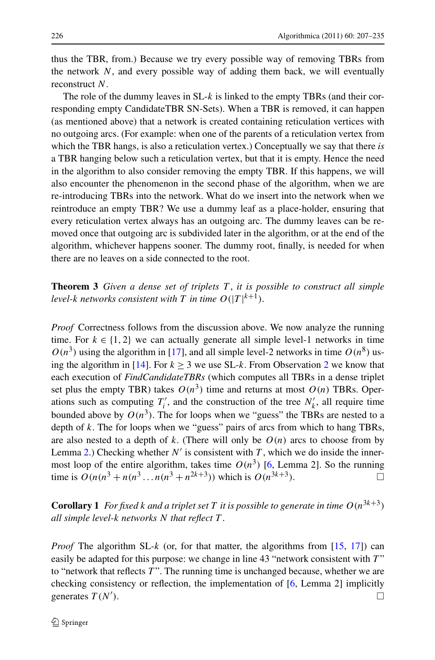thus the TBR, from.) Because we try every possible way of removing TBRs from the network *N*, and every possible way of adding them back, we will eventually reconstruct *N*.

The role of the dummy leaves in SL-*k* is linked to the empty TBRs (and their corresponding empty CandidateTBR SN-Sets). When a TBR is removed, it can happen (as mentioned above) that a network is created containing reticulation vertices with no outgoing arcs. (For example: when one of the parents of a reticulation vertex from which the TBR hangs, is also a reticulation vertex.) Conceptually we say that there *is* a TBR hanging below such a reticulation vertex, but that it is empty. Hence the need in the algorithm to also consider removing the empty TBR. If this happens, we will also encounter the phenomenon in the second phase of the algorithm, when we are re-introducing TBRs into the network. What do we insert into the network when we reintroduce an empty TBR? We use a dummy leaf as a place-holder, ensuring that every reticulation vertex always has an outgoing arc. The dummy leaves can be removed once that outgoing arc is subdivided later in the algorithm, or at the end of the algorithm, whichever happens sooner. The dummy root, finally, is needed for when there are no leaves on a side connected to the root.

<span id="page-19-0"></span>**Theorem 3** *Given a dense set of triplets T* , *it is possible to construct all simple level-k networks consistent with*  $T$  *in time*  $O(|T|^{k+1})$ *.* 

*Proof* Correctness follows from the discussion above. We now analyze the running time. For  $k \in \{1, 2\}$  we can actually generate all simple level-1 networks in time  $O(n^3)$  using the algorithm in [\[17](#page-28-16)], and all simple level-2 networks in time  $O(n^8)$  us-ing the algorithm in [\[14](#page-28-18)]. For  $k \geq 3$  we use SL-k. From Observation [2](#page-18-0) we know that each execution of *FindCandidateTBRs* (which computes all TBRs in a dense triplet set plus the empty TBR) takes  $O(n^3)$  time and returns at most  $O(n)$  TBRs. Operations such as computing  $T_i'$ , and the construction of the tree  $N_k'$ , all require time bounded above by  $O(n^3)$ . The for loops when we "guess" the TBRs are nested to a depth of *k*. The for loops when we "guess" pairs of arcs from which to hang TBRs, are also nested to a depth of  $k$ . (There will only be  $O(n)$  arcs to choose from by Lemma [2.](#page-16-2)) Checking whether  $N'$  is consistent with  $T$ , which we do inside the innermost loop of the entire algorithm, takes time  $O(n^3)$  [[6,](#page-28-20) Lemma 2]. So the running time is  $O(n(n^3 + n(n^3 ... n(n^3 + n^{2k+3}))$  which is  $O(n^{3k+3})$ .

**Corollary 1** *For fixed k and a triplet set T it is possible to generate in time*  $O(n^{3k+3})$ *all simple level-k networks N that reflect T* .

*Proof* The algorithm SL-*k* (or, for that matter, the algorithms from [[15,](#page-28-5) [17](#page-28-16)]) can easily be adapted for this purpose: we change in line 43 "network consistent with *T*" to "network that reflects *T*". The running time is unchanged because, whether we are checking consistency or reflection, the implementation of  $[6,$  $[6,$  Lemma 2] implicitly generates  $T(N')$ . **)**. □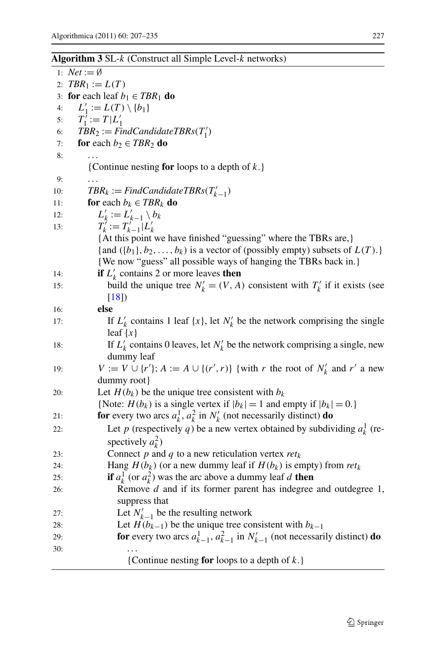**Algorithm 3** SL-*k* (Construct all Simple Level-*k* networks)

1:  $Net := \emptyset$ 2:  $TBR_1 := L(T)$ 3: **for** each leaf  $b_1 \in TBR_1$  **do** 4:  $L'_1 := L(T) \setminus \{b_1\}$ 5:  $T_1' := T | L_1'$ 6:  $TBR_2 := FindC and idate TBRs(T'_1)$ 7: **for** each  $b_2 \in TBR_2$  **do**  $8:$ {Continue nesting **for** loops to a depth of *k*.}  $9: \quad . . .$ 10:  $TBR_k := FindC and data TBRs(T'_{k-1})$ 11: **for** each  $b_k \in TBR_k$  **do** 12:  $L'_{k} := L'_{k-1} \setminus b_{k}$ 13:  $T'_k := T'_{k-1}|L'_k$ {At this point we have finished "guessing" where the TBRs are,} {and  $({b_1}, b_2, \ldots, b_k)$  is a vector of (possibly empty) subsets of  $L(T)$ .} {We now "guess" all possible ways of hanging the TBRs back in.} 14: **if**  $L'_k$  contains 2 or more leaves **then** 15: build the unique tree  $N'_k = (V, A)$  consistent with  $T'_k$  if it exists (see [[18\]](#page-28-7)) 16: **else** 17: If  $L'_k$  contains 1 leaf  $\{x\}$ , let  $N'_k$  be the network comprising the single leaf  $\{x\}$ 18: If  $L'_k$  contains 0 leaves, let  $N'_k$  be the network comprising a single, new dummy leaf 19:  $V := V \cup \{r'\}; A := A \cup \{(r', r)\}$  {with *r* the root of  $N'_k$  and  $r'$  a new dummy root} 20: Let  $H(b_k)$  be the unique tree consistent with  $b_k$ {Note:  $H(b_k)$  is a single vertex if  $|b_k| = 1$  and empty if  $|b_k| = 0$ .} 21: **for** every two arcs  $a_k^1$ ,  $a_k^2$  in  $N'_k$  (not necessarily distinct) **do** 22: Let *p* (respectively *q*) be a new vertex obtained by subdividing  $a_k^1$  (respectively  $a_k^2$ ) 23: Connect *p* and *q* to a new reticulation vertex *ret<sup>k</sup>* 24: Hang  $H(b_k)$  (or a new dummy leaf if  $H(b_k)$  is empty) from *ret<sub>k</sub>* 25: **if**  $a_k^1$  (or  $a_k^2$ ) was the arc above a dummy leaf *d* **then** 26: Remove *d* and if its former parent has indegree and outdegree 1, suppress that 27: Let  $N'_{k-1}$  be the resulting network 28: Let  $H(b_{k-1})$  be the unique tree consistent with  $b_{k-1}$ 29: **for** every two arcs  $a_{k-1}^1$ ,  $a_{k-1}^2$  in  $N'_{k-1}$  (not necessarily distinct) **do**  $30:$   $\cdots$ {Continue nesting **for** loops to a depth of *k*.}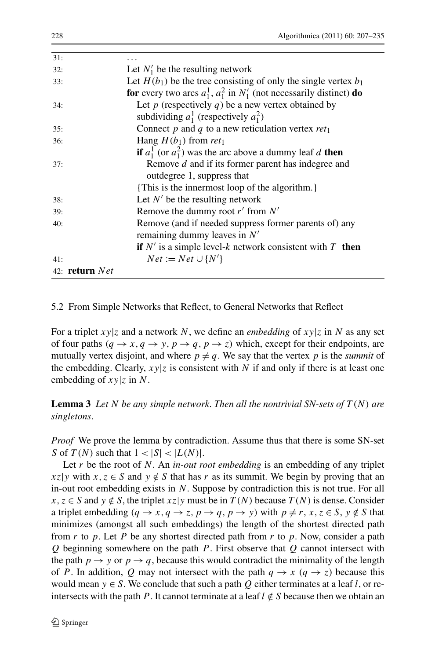| 31: |                                                                                     |
|-----|-------------------------------------------------------------------------------------|
| 32: | Let $N'_1$ be the resulting network                                                 |
| 33: | Let $H(b_1)$ be the tree consisting of only the single vertex $b_1$                 |
|     | for every two arcs $a_1^1$ , $a_1^2$ in $N'_1$ (not necessarily distinct) <b>do</b> |
| 34: | Let $p$ (respectively $q$ ) be a new vertex obtained by                             |
|     | subdividing $a_1^1$ (respectively $a_1^2$ )                                         |
| 35: | Connect p and q to a new reticulation vertex ret <sub>1</sub>                       |
| 36: | Hang $H(b_1)$ from ret <sub>1</sub>                                                 |
|     | if $a_1^1$ (or $a_1^2$ ) was the arc above a dummy leaf d then                      |
| 37: | Remove $d$ and if its former parent has indegree and                                |
|     | outdegree 1, suppress that                                                          |
|     | {This is the innermost loop of the algorithm.}                                      |
| 38: | Let $N'$ be the resulting network                                                   |
| 39: | Remove the dummy root $r'$ from $N'$                                                |
| 40: | Remove (and if needed suppress former parents of) any                               |
|     | remaining dummy leaves in $N'$                                                      |
|     | if $N'$ is a simple level-k network consistent with T then                          |
| 41: | $Net := Net \cup \{N'\}$                                                            |
|     | 42: return $Net$                                                                    |

## <span id="page-21-1"></span><span id="page-21-0"></span>5.2 From Simple Networks that Reflect, to General Networks that Reflect

For a triplet *xy*|*z* and a network *N*, we define an *embedding* of *xy*|*z* in *N* as any set of four paths  $(q \to x, q \to y, p \to q, p \to z)$  which, except for their endpoints, are mutually vertex disjoint, and where  $p \neq q$ . We say that the vertex p is the *summit* of the embedding. Clearly,  $xy|z$  is consistent with N if and only if there is at least one embedding of *xy*|*z* in *N*.

**Lemma 3** *Let N be any simple network*. *Then all the nontrivial SN-sets of T (N) are singletons*.

*Proof* We prove the lemma by contradiction. Assume thus that there is some SN-set *S* of  $T(N)$  such that  $1 < |S| < |L(N)|$ .

Let *r* be the root of *N*. An *in-out root embedding* is an embedding of any triplet *xz*|*y* with  $x, z \in S$  and  $y \notin S$  that has *r* as its summit. We begin by proving that an in-out root embedding exists in *N*. Suppose by contradiction this is not true. For all *x*,*z* ∈ *S* and *y*  $\notin$  *S*, the triplet *xz*|*y* must be in *T*(*N*) because *T*(*N*) is dense. Consider a triplet embedding  $(q \rightarrow x, q \rightarrow z, p \rightarrow q, p \rightarrow y)$  with  $p \neq r, x, z \in S, y \notin S$  that minimizes (amongst all such embeddings) the length of the shortest directed path from *r* to *p*. Let *P* be any shortest directed path from *r* to *p*. Now, consider a path *Q* beginning somewhere on the path *P* . First observe that *Q* cannot intersect with the path  $p \rightarrow y$  or  $p \rightarrow q$ , because this would contradict the minimality of the length of *P*. In addition, *Q* may not intersect with the path  $q \rightarrow x$  ( $q \rightarrow z$ ) because this would mean  $y \in S$ . We conclude that such a path Q either terminates at a leaf l, or reintersects with the path *P*. It cannot terminate at a leaf  $l \notin S$  because then we obtain an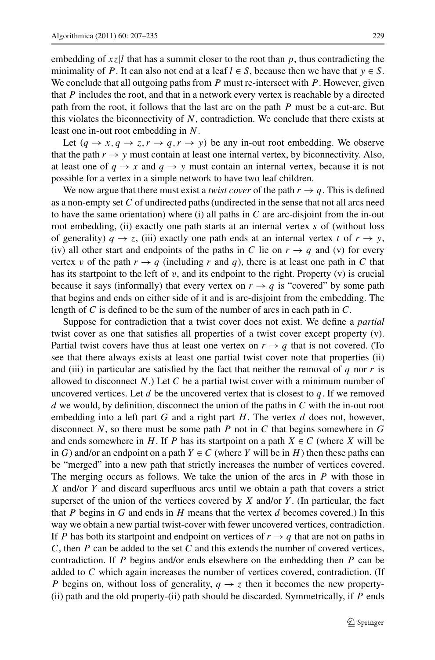embedding of  $xz/l$  that has a summit closer to the root than  $p$ , thus contradicting the minimality of *P*. It can also not end at a leaf  $l \in S$ , because then we have that  $y \in S$ . We conclude that all outgoing paths from *P* must re-intersect with *P* . However, given that *P* includes the root, and that in a network every vertex is reachable by a directed path from the root, it follows that the last arc on the path *P* must be a cut-arc. But this violates the biconnectivity of *N*, contradiction. We conclude that there exists at least one in-out root embedding in *N*.

Let  $(q \to x, q \to z, r \to q, r \to y)$  be any in-out root embedding. We observe that the path  $r \to y$  must contain at least one internal vertex, by biconnectivity. Also, at least one of  $q \rightarrow x$  and  $q \rightarrow y$  must contain an internal vertex, because it is not possible for a vertex in a simple network to have two leaf children.

We now argue that there must exist a *twist cover* of the path  $r \rightarrow q$ . This is defined as a non-empty set *C* of undirected paths (undirected in the sense that not all arcs need to have the same orientation) where (i) all paths in *C* are arc-disjoint from the in-out root embedding, (ii) exactly one path starts at an internal vertex *s* of (without loss of generality)  $q \rightarrow z$ , (iii) exactly one path ends at an internal vertex *t* of  $r \rightarrow y$ , (iv) all other start and endpoints of the paths in *C* lie on  $r \rightarrow q$  and (v) for every vertex *v* of the path  $r \rightarrow q$  (including *r* and *q*), there is at least one path in *C* that has its startpoint to the left of  $v$ , and its endpoint to the right. Property  $(v)$  is crucial because it says (informally) that every vertex on  $r \rightarrow q$  is "covered" by some path that begins and ends on either side of it and is arc-disjoint from the embedding. The length of *C* is defined to be the sum of the number of arcs in each path in *C*.

Suppose for contradiction that a twist cover does not exist. We define a *partial* twist cover as one that satisfies all properties of a twist cover except property (v). Partial twist covers have thus at least one vertex on  $r \rightarrow q$  that is not covered. (To see that there always exists at least one partial twist cover note that properties (ii) and (iii) in particular are satisfied by the fact that neither the removal of  $q$  nor  $r$  is allowed to disconnect *N*.) Let *C* be a partial twist cover with a minimum number of uncovered vertices. Let  $d$  be the uncovered vertex that is closest to  $q$ . If we removed *d* we would, by definition, disconnect the union of the paths in *C* with the in-out root embedding into a left part *G* and a right part *H*. The vertex *d* does not, however, disconnect *N*, so there must be some path *P* not in *C* that begins somewhere in *G* and ends somewhere in *H*. If *P* has its startpoint on a path  $X \in C$  (where *X* will be in *G*) and/or an endpoint on a path  $Y \in C$  (where *Y* will be in *H*) then these paths can be "merged" into a new path that strictly increases the number of vertices covered. The merging occurs as follows. We take the union of the arcs in *P* with those in *X* and/or *Y* and discard superfluous arcs until we obtain a path that covers a strict superset of the union of the vertices covered by *X* and/or *Y* . (In particular, the fact that *P* begins in *G* and ends in *H* means that the vertex *d* becomes covered.) In this way we obtain a new partial twist-cover with fewer uncovered vertices, contradiction. If *P* has both its startpoint and endpoint on vertices of  $r \rightarrow q$  that are not on paths in *C*, then *P* can be added to the set *C* and this extends the number of covered vertices, contradiction. If *P* begins and/or ends elsewhere on the embedding then *P* can be added to *C* which again increases the number of vertices covered, contradiction. (If *P* begins on, without loss of generality,  $q \rightarrow z$  then it becomes the new property-(ii) path and the old property-(ii) path should be discarded. Symmetrically, if *P* ends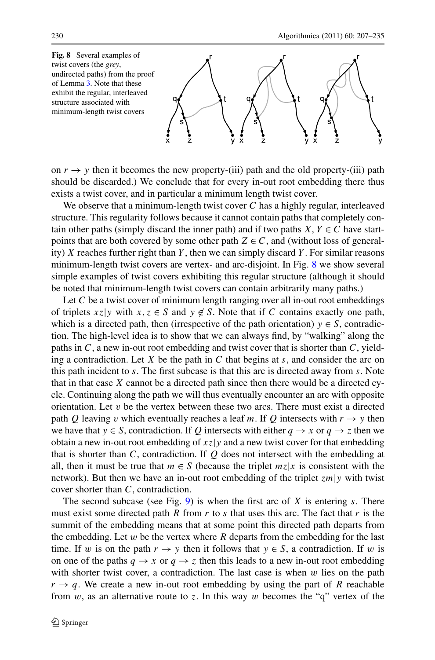<span id="page-23-0"></span>

on  $r \rightarrow y$  then it becomes the new property-(iii) path and the old property-(iii) path should be discarded.) We conclude that for every in-out root embedding there thus exists a twist cover, and in particular a minimum length twist cover.

We observe that a minimum-length twist cover *C* has a highly regular, interleaved structure. This regularity follows because it cannot contain paths that completely contain other paths (simply discard the inner path) and if two paths  $X, Y \in C$  have startpoints that are both covered by some other path  $Z \in C$ , and (without loss of generality) *X* reaches further right than *Y* , then we can simply discard *Y* . For similar reasons minimum-length twist covers are vertex- and arc-disjoint. In Fig. [8](#page-23-0) we show several simple examples of twist covers exhibiting this regular structure (although it should be noted that minimum-length twist covers can contain arbitrarily many paths.)

Let *C* be a twist cover of minimum length ranging over all in-out root embeddings of triplets  $xz|y$  with  $x, z \in S$  and  $y \notin S$ . Note that if *C* contains exactly one path, which is a directed path, then (irrespective of the path orientation)  $y \in S$ , contradiction. The high-level idea is to show that we can always find, by "walking" along the paths in *C*, a new in-out root embedding and twist cover that is shorter than *C*, yielding a contradiction. Let *X* be the path in *C* that begins at *s*, and consider the arc on this path incident to *s*. The first subcase is that this arc is directed away from *s*. Note that in that case *X* cannot be a directed path since then there would be a directed cycle. Continuing along the path we will thus eventually encounter an arc with opposite orientation. Let  $v$  be the vertex between these two arcs. There must exist a directed path *Q* leaving *v* which eventually reaches a leaf *m*. If *Q* intersects with  $r \rightarrow y$  then we have that  $y \in S$ , contradiction. If Q intersects with either  $q \to x$  or  $q \to z$  then we obtain a new in-out root embedding of  $xz|y$  and a new twist cover for that embedding that is shorter than *C*, contradiction. If *Q* does not intersect with the embedding at all, then it must be true that  $m \in S$  (because the triplet  $mz|x$  is consistent with the network). But then we have an in-out root embedding of the triplet  $zm|y|$  with twist cover shorter than *C*, contradiction.

The second subcase (see Fig. [9](#page-24-0)) is when the first arc of *X* is entering *s*. There must exist some directed path *R* from *r* to *s* that uses this arc. The fact that *r* is the summit of the embedding means that at some point this directed path departs from the embedding. Let *w* be the vertex where *R* departs from the embedding for the last time. If *w* is on the path  $r \to y$  then it follows that  $y \in S$ , a contradiction. If *w* is on one of the paths  $q \rightarrow x$  or  $q \rightarrow z$  then this leads to a new in-out root embedding with shorter twist cover, a contradiction. The last case is when *w* lies on the path  $r \rightarrow q$ . We create a new in-out root embedding by using the part of *R* reachable from *w*, as an alternative route to *z*. In this way *w* becomes the "q" vertex of the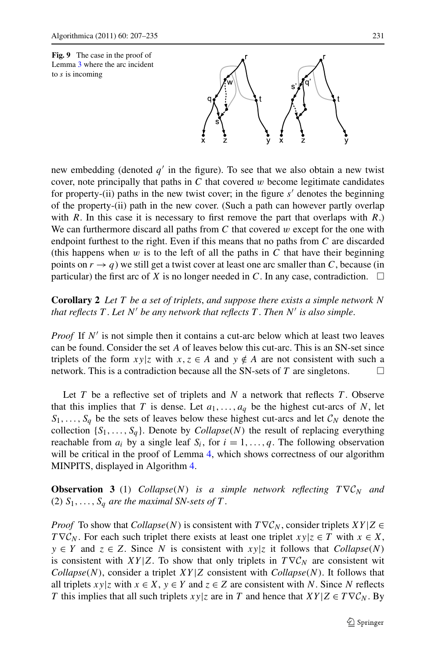<span id="page-24-0"></span>**Fig. 9** The case in the proof of Lemma [3](#page-21-1) where the arc incident to *s* is incoming



new embedding (denoted  $q'$  in the figure). To see that we also obtain a new twist cover, note principally that paths in *C* that covered *w* become legitimate candidates for property-(ii) paths in the new twist cover; in the figure *s'* denotes the beginning of the property-(ii) path in the new cover. (Such a path can however partly overlap with *R*. In this case it is necessary to first remove the part that overlaps with  $R$ .) We can furthermore discard all paths from *C* that covered *w* except for the one with endpoint furthest to the right. Even if this means that no paths from *C* are discarded (this happens when  $w$  is to the left of all the paths in  $C$  that have their beginning points on  $r \rightarrow q$ ) we still get a twist cover at least one arc smaller than *C*, because (in particular) the first arc of *X* is no longer needed in *C*. In any case, contradiction.  $\Box$ 

**Corollary 2** *Let T be a set of triplets*, *and suppose there exists a simple network N that reflects T* . *Let N be any network that reflects T* . *Then N is also simple*.

*Proof* If *N'* is not simple then it contains a cut-arc below which at least two leaves can be found. Consider the set *A* of leaves below this cut-arc. This is an SN-set since triplets of the form  $xy|z$  with  $x, z \in A$  and  $y \notin A$  are not consistent with such a network. This is a contradiction because all the SN-sets of  $T$  are singletons.  $\Box$ 

<span id="page-24-1"></span>Let *T* be a reflective set of triplets and *N* a network that reflects *T* . Observe that this implies that *T* is dense. Let  $a_1, \ldots, a_q$  be the highest cut-arcs of *N*, let  $S_1, \ldots, S_q$  be the sets of leaves below these highest cut-arcs and let  $C_N$  denote the collection  $\{S_1, \ldots, S_q\}$ . Denote by *Collapse*(N) the result of replacing everything reachable from  $a_i$  by a single leaf  $S_i$ , for  $i = 1, \ldots, q$ . The following observation will be critical in the proof of Lemma [4,](#page-25-0) which shows correctness of our algorithm MINPITS, displayed in Algorithm [4.](#page-26-1)

**Observation 3** (1) *Collapse*(*N*) *is a simple network reflecting*  $T\nabla C_N$  *and* (2)  $S_1, \ldots, S_q$  *are the maximal SN-sets of*  $T$ .

*Proof* To show that  $Collapse(N)$  is consistent with  $T \nabla C_N$ , consider triplets  $XY|Z \in$ *T*  $\nabla C_N$ . For each such triplet there exists at least one triplet  $xy|z \in T$  with  $x \in X$ ,  $y \in Y$  and  $z \in Z$ . Since *N* is consistent with  $xy|z$  it follows that *Collapse*(*N*) is consistent with *XY*|*Z*. To show that only triplets in  $T \nabla C_N$  are consistent wit *Collapse*(*N*), consider a triplet *XY*|*Z* consistent with *Collapse*(*N*). It follows that all triplets  $xy|z$  with  $x \in X$ ,  $y \in Y$  and  $z \in Z$  are consistent with *N*. Since *N* reflects *T* this implies that all such triplets *xy*|*z* are in *T* and hence that  $XY|Z \in T\nabla C_N$ . By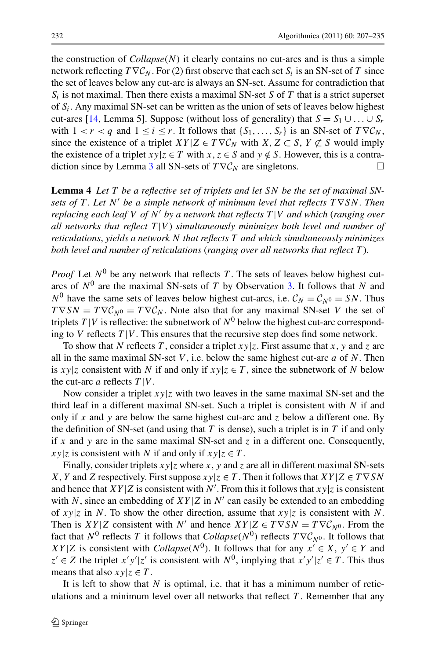<span id="page-25-0"></span>the construction of  $Collapse(N)$  it clearly contains no cut-arcs and is thus a simple network reflecting  $T \nabla C_N$ . For (2) first observe that each set  $S_i$  is an SN-set of *T* since the set of leaves below any cut-arc is always an SN-set. Assume for contradiction that  $S_i$  is not maximal. Then there exists a maximal SN-set *S* of *T* that is a strict superset of *Si*. Any maximal SN-set can be written as the union of sets of leaves below highest cut-arcs [\[14](#page-28-18), Lemma 5]. Suppose (without loss of generality) that  $S = S_1 \cup ... \cup S_r$ with  $1 < r < q$  and  $1 \le i \le r$ . It follows that  $\{S_1, \ldots, S_r\}$  is an SN-set of  $T \nabla C_N$ , since the existence of a triplet  $XY|Z \in T \nabla C_N$  with  $X, Z \subset S, Y \not\subset S$  would imply the existence of a triplet  $xy|z \in T$  with  $x, z \in S$  and  $y \notin S$ . However, this is a contra-diction since by Lemma [3](#page-21-1) all SN-sets of  $T \nabla C_N$  are singletons.

**Lemma 4** *Let T be a reflective set of triplets and let SN be the set of maximal SNsets of T* . *Let N be a simple network of minimum level that reflects T* ∇*SN*. *Then replacing each leaf V of N by a network that reflects T* |*V and which* (*ranging over all networks that reflect T* |*V* ) *simultaneously minimizes both level and number of reticulations*, *yields a network N that reflects T and which simultaneously minimizes both level and number of reticulations* (*ranging over all networks that reflect T* ).

*Proof* Let  $N^0$  be any network that reflects *T*. The sets of leaves below highest cutarcs of *N*<sup>0</sup> are the maximal SN-sets of *T* by Observation [3](#page-24-1). It follows that *N* and  $N^0$  have the same sets of leaves below highest cut-arcs, i.e.  $C_N = C_{N^0} = SN$ . Thus  $T\nabla S N = T\nabla \mathcal{C}_{N^0} = T\nabla \mathcal{C}_N$ . Note also that for any maximal SN-set *V* the set of triplets  $T|V$  is reflective: the subnetwork of  $N^0$  below the highest cut-arc corresponding to *V* reflects  $T|V$ . This ensures that the recursive step does find some network.

To show that *N* reflects *T*, consider a triplet  $xy|z$ . First assume that *x*, *y* and *z* are all in the same maximal SN-set *V* , i.e. below the same highest cut-arc *a* of *N*. Then is *xy*|*z* consistent with *N* if and only if  $xy|z \in T$ , since the subnetwork of *N* below the cut-arc  $a$  reflects  $T|V$ .

Now consider a triplet *xy*|*z* with two leaves in the same maximal SN-set and the third leaf in a different maximal SN-set. Such a triplet is consistent with *N* if and only if *x* and *y* are below the same highest cut-arc and *z* below a different one. By the definition of SN-set (and using that *T* is dense), such a triplet is in *T* if and only if *x* and *y* are in the same maximal SN-set and *z* in a different one. Consequently,  $xy|z$  is consistent with *N* if and only if  $xy|z \in T$ .

Finally, consider triplets *xy*|*z* where *x*, *y* and *z* are all in different maximal SN-sets *X*, *Y* and *Z* respectively. First suppose  $xy|z \in T$ . Then it follows that  $XY|Z \in T\nabla SN$ and hence that  $XY|Z$  is consistent with N'. From this it follows that  $xy|z$  is consistent with *N*, since an embedding of  $XY|Z$  in  $N'$  can easily be extended to an embedding of  $xy|z$  in N. To show the other direction, assume that  $xy|z$  is consistent with N. Then is *XY*|*Z* consistent with *N'* and hence  $XY|Z \in T \nabla S N = T \nabla C_{N^0}$ . From the fact that  $N^0$  reflects *T* it follows that *Collapse*( $N^0$ ) reflects  $T \nabla C_{N^0}$ . It follows that *XY*|*Z* is consistent with *Collapse*( $N^0$ ). It follows that for any  $x' \in X$ ,  $y' \in Y$  and *z*<sup>*'*</sup> ∈ *Z* the triplet *x'y'*|*z'* is consistent with *N*<sup>0</sup>, implying that *x'y'*|*z'* ∈ *T*. This thus means that also  $xy|z \in T$ .

It is left to show that *N* is optimal, i.e. that it has a minimum number of reticulations and a minimum level over all networks that reflect  $T$ . Remember that any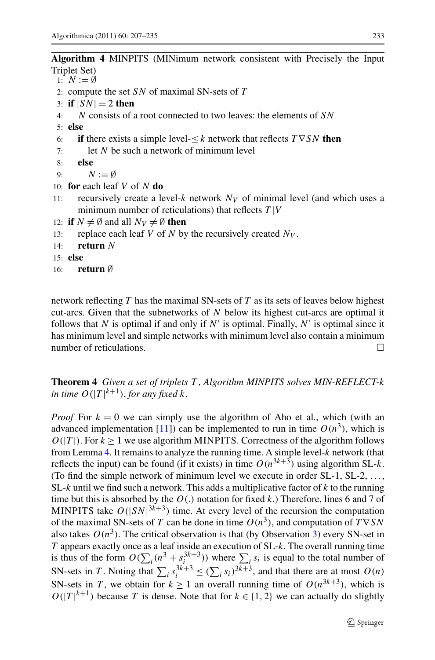<span id="page-26-1"></span>

| Algorithm 4 MINPITS (MINimum network consistent with Precisely the Input                                                                     |
|----------------------------------------------------------------------------------------------------------------------------------------------|
| Triplet Set)                                                                                                                                 |
| 1: $N := \emptyset$                                                                                                                          |
| 2: compute the set SN of maximal SN-sets of T                                                                                                |
| 3: if $ SN  = 2$ then                                                                                                                        |
| N consists of a root connected to two leaves: the elements of $SN$<br>4:                                                                     |
| $5:$ else                                                                                                                                    |
| <b>if</b> there exists a simple level- $\leq k$ network that reflects $T \nabla SN$ then<br>6:                                               |
| let $N$ be such a network of minimum level<br>$7\cdot$                                                                                       |
| else<br>8:                                                                                                                                   |
| $N := \emptyset$<br>9:                                                                                                                       |
| 10: <b>for</b> each leaf V of N <b>do</b>                                                                                                    |
| recursively create a level-k network $N_V$ of minimal level (and which uses a<br>11:<br>minimum number of reticulations) that reflects $T V$ |
| 12: if $N \neq \emptyset$ and all $N_V \neq \emptyset$ then                                                                                  |
| replace each leaf V of N by the recursively created $N_V$ .<br>13:                                                                           |
| return $N$<br>14:                                                                                                                            |
| $15:$ else                                                                                                                                   |
| return $\emptyset$<br>16:                                                                                                                    |
|                                                                                                                                              |

<span id="page-26-0"></span>network reflecting *T* has the maximal SN-sets of *T* as its sets of leaves below highest cut-arcs. Given that the subnetworks of *N* below its highest cut-arcs are optimal it follows that *N* is optimal if and only if  $N'$  is optimal. Finally,  $N'$  is optimal since it has minimum level and simple networks with minimum level also contain a minimum number of reticulations.  $\Box$ 

**Theorem 4** *Given a set of triplets T* , *Algorithm MINPITS solves MIN-REFLECT-k in time*  $O(|T|^{k+1})$ , *for any fixed k*.

*Proof* For  $k = 0$  we can simply use the algorithm of Aho et al., which (with an advanced implementation [[11\]](#page-28-21)) can be implemented to run in time  $O(n^3)$ , which is  $O(|T|)$ . For  $k > 1$  we use algorithm MINPITS. Correctness of the algorithm follows from Lemma [4.](#page-25-0) It remains to analyze the running time. A simple level-*k* network (that reflects the input) can be found (if it exists) in time  $O(n^{3k+3})$  using algorithm SL-*k*. (To find the simple network of minimum level we execute in order SL-1, SL-2, ..., SL-*k* until we find such a network. This adds a multiplicative factor of *k* to the running time but this is absorbed by the *O(.)* notation for fixed *k*.) Therefore, lines 6 and 7 of MINPITS take  $O(|SN|^{3k+3})$  time. At every level of the recursion the computation of the maximal SN-sets of *T* can be done in time  $O(n^3)$ , and computation of  $T \nabla S N$ also takes  $O(n^3)$  $O(n^3)$ . The critical observation is that (by Observation 3) every SN-set in *T* appears exactly once as a leaf inside an execution of SL-*k*. The overall running time is thus of the form  $O(\sum_i(n^3 + s_i^{3k+3}))$  where  $\sum_i s_i$  is equal to the total number of SN-sets in *T*. Noting that  $\sum_i s_i^{3k+3} \leq (\sum_i s_i)^{3k+3}$ , and that there are at most  $O(n)$ SN-sets in *T*, we obtain for  $k \ge 1$  an overall running time of  $O(n^{3k+3})$ , which is  $O(|T|^{k+1})$  because *T* is dense. Note that for  $k \in \{1, 2\}$  we can actually do slightly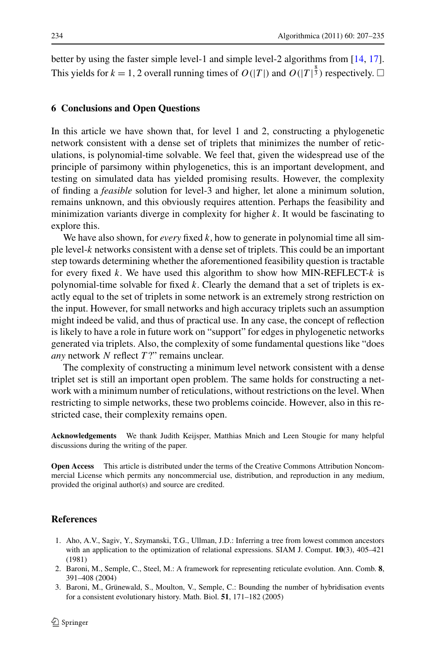better by using the faster simple level-1 and simple level-2 algorithms from [[14,](#page-28-18) [17\]](#page-28-16). This yields for  $k = 1, 2$  overall running times of  $O(|T|)$  and  $O(|T|^{\frac{8}{3}})$  respectively.  $\Box$ 

#### **6 Conclusions and Open Questions**

In this article we have shown that, for level 1 and 2, constructing a phylogenetic network consistent with a dense set of triplets that minimizes the number of reticulations, is polynomial-time solvable. We feel that, given the widespread use of the principle of parsimony within phylogenetics, this is an important development, and testing on simulated data has yielded promising results. However, the complexity of finding a *feasible* solution for level-3 and higher, let alone a minimum solution, remains unknown, and this obviously requires attention. Perhaps the feasibility and minimization variants diverge in complexity for higher *k*. It would be fascinating to explore this.

We have also shown, for *every* fixed *k*, how to generate in polynomial time all simple level-*k* networks consistent with a dense set of triplets. This could be an important step towards determining whether the aforementioned feasibility question is tractable for every fixed *k*. We have used this algorithm to show how MIN-REFLECT-*k* is polynomial-time solvable for fixed *k*. Clearly the demand that a set of triplets is exactly equal to the set of triplets in some network is an extremely strong restriction on the input. However, for small networks and high accuracy triplets such an assumption might indeed be valid, and thus of practical use. In any case, the concept of reflection is likely to have a role in future work on "support" for edges in phylogenetic networks generated via triplets. Also, the complexity of some fundamental questions like "does *any* network *N* reflect *T* ?" remains unclear.

The complexity of constructing a minimum level network consistent with a dense triplet set is still an important open problem. The same holds for constructing a network with a minimum number of reticulations, without restrictions on the level. When restricting to simple networks, these two problems coincide. However, also in this restricted case, their complexity remains open.

<span id="page-27-2"></span>**Acknowledgements** We thank Judith Keijsper, Matthias Mnich and Leen Stougie for many helpful discussions during the writing of the paper.

<span id="page-27-0"></span>**Open Access** This article is distributed under the terms of the Creative Commons Attribution Noncommercial License which permits any noncommercial use, distribution, and reproduction in any medium, provided the original author(s) and source are credited.

## <span id="page-27-1"></span>**References**

- 1. Aho, A.V., Sagiv, Y., Szymanski, T.G., Ullman, J.D.: Inferring a tree from lowest common ancestors with an application to the optimization of relational expressions. SIAM J. Comput. **10**(3), 405–421 (1981)
- 2. Baroni, M., Semple, C., Steel, M.: A framework for representing reticulate evolution. Ann. Comb. **8**, 391–408 (2004)
- 3. Baroni, M., Grünewald, S., Moulton, V., Semple, C.: Bounding the number of hybridisation events for a consistent evolutionary history. Math. Biol. **51**, 171–182 (2005)